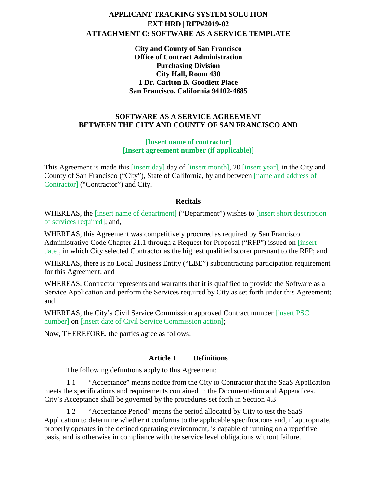# **APPLICANT TRACKING SYSTEM SOLUTION EXT HRD | RFP#2019-02 ATTACHMENT C: SOFTWARE AS A SERVICE TEMPLATE**

**City and County of San Francisco Office of Contract Administration Purchasing Division City Hall, Room 430 1 Dr. Carlton B. Goodlett Place San Francisco, California 94102-4685**

#### **SOFTWARE AS A SERVICE AGREEMENT BETWEEN THE CITY AND COUNTY OF SAN FRANCISCO AND**

#### **[Insert name of contractor] [Insert agreement number (if applicable)]**

This Agreement is made this [insert day] day of [insert month], 20 [insert year], in the City and County of San Francisco ("City"), State of California, by and between [name and address of Contractor] ("Contractor") and City.

#### **Recitals**

WHEREAS, the [insert name of department] ("Department") wishes to [insert short description of services required]; and,

WHEREAS, this Agreement was competitively procured as required by San Francisco Administrative Code Chapter 21.1 through a Request for Proposal ("RFP") issued on [insert date], in which City selected Contractor as the highest qualified scorer pursuant to the RFP; and

WHEREAS, there is no Local Business Entity ("LBE") subcontracting participation requirement for this Agreement; and

WHEREAS, Contractor represents and warrants that it is qualified to provide the Software as a Service Application and perform the Services required by City as set forth under this Agreement; and

WHEREAS, the City's Civil Service Commission approved Contract number [insert PSC number] on [insert date of Civil Service Commission action];

Now, THEREFORE, the parties agree as follows:

## **Article 1 Definitions**

The following definitions apply to this Agreement:

1.1 "Acceptance" means notice from the City to Contractor that the SaaS Application meets the specifications and requirements contained in the Documentation and Appendices. City's Acceptance shall be governed by the procedures set forth in Section 4.3

1.2 "Acceptance Period" means the period allocated by City to test the SaaS Application to determine whether it conforms to the applicable specifications and, if appropriate, properly operates in the defined operating environment, is capable of running on a repetitive basis, and is otherwise in compliance with the service level obligations without failure.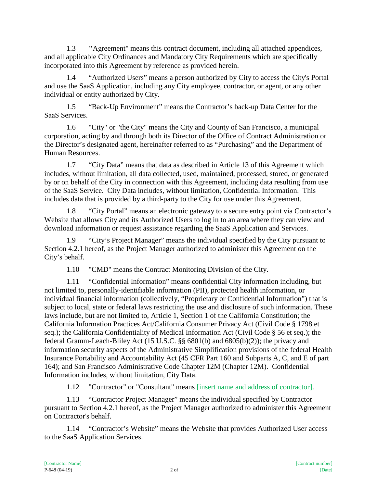1.3 **"**Agreement" means this contract document, including all attached appendices, and all applicable City Ordinances and Mandatory City Requirements which are specifically incorporated into this Agreement by reference as provided herein.

1.4 "Authorized Users" means a person authorized by City to access the City's Portal and use the SaaS Application, including any City employee, contractor, or agent, or any other individual or entity authorized by City.

1.5 "Back-Up Environment" means the Contractor's back-up Data Center for the SaaS Services.

1.6 "City" or "the City" means the City and County of San Francisco, a municipal corporation, acting by and through both its Director of the Office of Contract Administration or the Director's designated agent, hereinafter referred to as "Purchasing" and the Department of Human Resources.

1.7 "City Data" means that data as described in Article 13 of this Agreement which includes, without limitation, all data collected, used, maintained, processed, stored, or generated by or on behalf of the City in connection with this Agreement, including data resulting from use of the SaaS Service. City Data includes, without limitation, Confidential Information. This includes data that is provided by a third-party to the City for use under this Agreement.

1.8 "City Portal" means an electronic gateway to a secure entry point via Contractor's Website that allows City and its Authorized Users to log in to an area where they can view and download information or request assistance regarding the SaaS Application and Services.

1.9 "City's Project Manager" means the individual specified by the City pursuant to Section 4.2.1 hereof, as the Project Manager authorized to administer this Agreement on the City's behalf.

1.10 "CMD" means the Contract Monitoring Division of the City.

1.11 "Confidential Information" means confidential City information including, but not limited to, personally-identifiable information (PII), protected health information, or individual financial information (collectively, "Proprietary or Confidential Information") that is subject to local, state or federal laws restricting the use and disclosure of such information. These laws include, but are not limited to, Article 1, Section 1 of the California Constitution; the California Information Practices Act/California Consumer Privacy Act (Civil Code § 1798 et seq.); the California Confidentiality of Medical Information Act (Civil Code § 56 et seq.); the federal Gramm-Leach-Bliley Act (15 U.S.C. §§ 6801(b) and 6805(b)(2)); the privacy and information security aspects of the Administrative Simplification provisions of the federal Health Insurance Portability and Accountability Act (45 CFR Part 160 and Subparts A, C, and E of part 164); and San Francisco Administrative Code Chapter 12M (Chapter 12M). Confidential Information includes, without limitation, City Data.

1.12 "Contractor" or "Consultant" means [insert name and address of contractor].

1.13 "Contractor Project Manager" means the individual specified by Contractor pursuant to Section 4.2.1 hereof, as the Project Manager authorized to administer this Agreement on Contractor's behalf.

1.14 "Contractor's Website" means the Website that provides Authorized User access to the SaaS Application Services.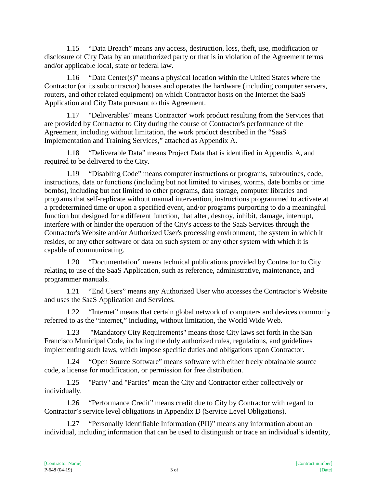1.15 "Data Breach" means any access, destruction, loss, theft, use, modification or disclosure of City Data by an unauthorized party or that is in violation of the Agreement terms and/or applicable local, state or federal law.

1.16 "Data Center(s)" means a physical location within the United States where the Contractor (or its subcontractor) houses and operates the hardware (including computer servers, routers, and other related equipment) on which Contractor hosts on the Internet the SaaS Application and City Data pursuant to this Agreement.

1.17 "Deliverables" means Contractor' work product resulting from the Services that are provided by Contractor to City during the course of Contractor's performance of the Agreement, including without limitation, the work product described in the "SaaS Implementation and Training Services," attached as Appendix A.

1.18 "Deliverable Data" means Project Data that is identified in Appendix A, and required to be delivered to the City.

1.19 "Disabling Code" means computer instructions or programs, subroutines, code, instructions, data or functions (including but not limited to viruses, worms, date bombs or time bombs), including but not limited to other programs, data storage, computer libraries and programs that self-replicate without manual intervention, instructions programmed to activate at a predetermined time or upon a specified event, and/or programs purporting to do a meaningful function but designed for a different function, that alter, destroy, inhibit, damage, interrupt, interfere with or hinder the operation of the City's access to the SaaS Services through the Contractor's Website and/or Authorized User's processing environment, the system in which it resides, or any other software or data on such system or any other system with which it is capable of communicating.

1.20 "Documentation" means technical publications provided by Contractor to City relating to use of the SaaS Application, such as reference, administrative, maintenance, and programmer manuals.

1.21 "End Users" means any Authorized User who accesses the Contractor's Website and uses the SaaS Application and Services.

1.22 "Internet" means that certain global network of computers and devices commonly referred to as the "internet," including, without limitation, the World Wide Web.

1.23 "Mandatory City Requirements" means those City laws set forth in the San Francisco Municipal Code, including the duly authorized rules, regulations, and guidelines implementing such laws, which impose specific duties and obligations upon Contractor.

1.24 "Open Source Software" means software with either freely obtainable source code, a license for modification, or permission for free distribution.

1.25 "Party" and "Parties" mean the City and Contractor either collectively or individually.

1.26 "Performance Credit" means credit due to City by Contractor with regard to Contractor's service level obligations in Appendix D (Service Level Obligations).

1.27 "Personally Identifiable Information (PII)" means any information about an individual, including information that can be used to distinguish or trace an individual's identity,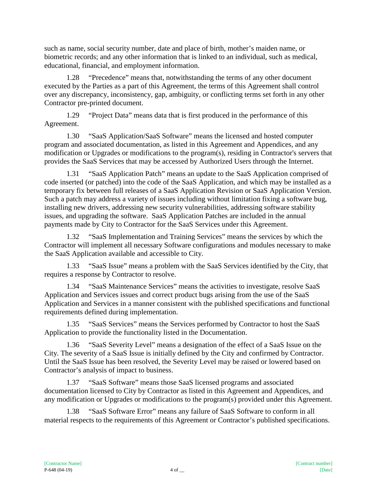such as name, social security number, date and place of birth, mother's maiden name, or biometric records; and any other information that is linked to an individual, such as medical, educational, financial, and employment information.

1.28 "Precedence" means that, notwithstanding the terms of any other document executed by the Parties as a part of this Agreement, the terms of this Agreement shall control over any discrepancy, inconsistency, gap, ambiguity, or conflicting terms set forth in any other Contractor pre-printed document.

1.29 "Project Data" means data that is first produced in the performance of this Agreement.

1.30 "SaaS Application/SaaS Software" means the licensed and hosted computer program and associated documentation, as listed in this Agreement and Appendices, and any modification or Upgrades or modifications to the program(s), residing in Contractor's servers that provides the SaaS Services that may be accessed by Authorized Users through the Internet.

1.31 "SaaS Application Patch" means an update to the SaaS Application comprised of code inserted (or patched) into the code of the SaaS Application, and which may be installed as a temporary fix between full releases of a SaaS Application Revision or SaaS Application Version. Such a patch may address a variety of issues including without limitation fixing a software bug, installing new drivers, addressing new security vulnerabilities, addressing software stability issues, and upgrading the software. SaaS Application Patches are included in the annual payments made by City to Contractor for the SaaS Services under this Agreement.

1.32 "SaaS Implementation and Training Services" means the services by which the Contractor will implement all necessary Software configurations and modules necessary to make the SaaS Application available and accessible to City.

1.33 "SaaS Issue" means a problem with the SaaS Services identified by the City, that requires a response by Contractor to resolve.

1.34 "SaaS Maintenance Services" means the activities to investigate, resolve SaaS Application and Services issues and correct product bugs arising from the use of the SaaS Application and Services in a manner consistent with the published specifications and functional requirements defined during implementation.

1.35 "SaaS Services" means the Services performed by Contractor to host the SaaS Application to provide the functionality listed in the Documentation.

1.36 "SaaS Severity Level" means a designation of the effect of a SaaS Issue on the City. The severity of a SaaS Issue is initially defined by the City and confirmed by Contractor. Until the SaaS Issue has been resolved, the Severity Level may be raised or lowered based on Contractor's analysis of impact to business.

1.37 "SaaS Software" means those SaaS licensed programs and associated documentation licensed to City by Contractor as listed in this Agreement and Appendices, and any modification or Upgrades or modifications to the program(s) provided under this Agreement.

1.38 "SaaS Software Error" means any failure of SaaS Software to conform in all material respects to the requirements of this Agreement or Contractor's published specifications.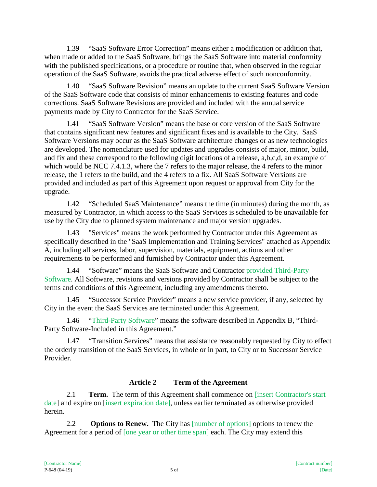1.39 "SaaS Software Error Correction" means either a modification or addition that, when made or added to the SaaS Software, brings the SaaS Software into material conformity with the published specifications, or a procedure or routine that, when observed in the regular operation of the SaaS Software, avoids the practical adverse effect of such nonconformity.

1.40 "SaaS Software Revision" means an update to the current SaaS Software Version of the SaaS Software code that consists of minor enhancements to existing features and code corrections. SaaS Software Revisions are provided and included with the annual service payments made by City to Contractor for the SaaS Service.

1.41 "SaaS Software Version" means the base or core version of the SaaS Software that contains significant new features and significant fixes and is available to the City. SaaS Software Versions may occur as the SaaS Software architecture changes or as new technologies are developed. The nomenclature used for updates and upgrades consists of major, minor, build, and fix and these correspond to the following digit locations of a release, a,b,c,d, an example of which would be NCC 7.4.1.3, where the 7 refers to the major release, the 4 refers to the minor release, the 1 refers to the build, and the 4 refers to a fix. All SaaS Software Versions are provided and included as part of this Agreement upon request or approval from City for the upgrade.

1.42 "Scheduled SaaS Maintenance" means the time (in minutes) during the month, as measured by Contractor, in which access to the SaaS Services is scheduled to be unavailable for use by the City due to planned system maintenance and major version upgrades.

1.43 "Services" means the work performed by Contractor under this Agreement as specifically described in the "SaaS Implementation and Training Services" attached as Appendix A, including all services, labor, supervision, materials, equipment, actions and other requirements to be performed and furnished by Contractor under this Agreement.

1.44 "Software" means the SaaS Software and Contractor provided Third-Party Software. All Software, revisions and versions provided by Contractor shall be subject to the terms and conditions of this Agreement, including any amendments thereto.

1.45 "Successor Service Provider" means a new service provider, if any, selected by City in the event the SaaS Services are terminated under this Agreement.

1.46 "Third-Party Software" means the software described in Appendix B, "Third-Party Software-Included in this Agreement."

1.47 "Transition Services" means that assistance reasonably requested by City to effect the orderly transition of the SaaS Services, in whole or in part, to City or to Successor Service Provider.

# **Article 2 Term of the Agreement**

2.1 **Term.** The term of this Agreement shall commence on [insert Contractor's start date] and expire on [insert expiration date], unless earlier terminated as otherwise provided herein.

2.2 **Options to Renew.** The City has [number of options] options to renew the Agreement for a period of [one year or other time span] each. The City may extend this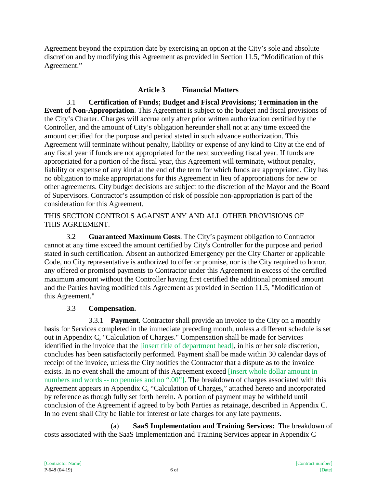Agreement beyond the expiration date by exercising an option at the City's sole and absolute discretion and by modifying this Agreement as provided in Section 11.5, "Modification of this Agreement."

## **Article 3 Financial Matters**

3.1 **Certification of Funds; Budget and Fiscal Provisions; Termination in the Event of Non-Appropriation**. This Agreement is subject to the budget and fiscal provisions of the City's Charter. Charges will accrue only after prior written authorization certified by the Controller, and the amount of City's obligation hereunder shall not at any time exceed the amount certified for the purpose and period stated in such advance authorization. This Agreement will terminate without penalty, liability or expense of any kind to City at the end of any fiscal year if funds are not appropriated for the next succeeding fiscal year. If funds are appropriated for a portion of the fiscal year, this Agreement will terminate, without penalty, liability or expense of any kind at the end of the term for which funds are appropriated. City has no obligation to make appropriations for this Agreement in lieu of appropriations for new or other agreements. City budget decisions are subject to the discretion of the Mayor and the Board of Supervisors. Contractor's assumption of risk of possible non-appropriation is part of the consideration for this Agreement.

#### THIS SECTION CONTROLS AGAINST ANY AND ALL OTHER PROVISIONS OF THIS AGREEMENT.

3.2 **Guaranteed Maximum Costs**. The City's payment obligation to Contractor cannot at any time exceed the amount certified by City's Controller for the purpose and period stated in such certification. Absent an authorized Emergency per the City Charter or applicable Code, no City representative is authorized to offer or promise, nor is the City required to honor, any offered or promised payments to Contractor under this Agreement in excess of the certified maximum amount without the Controller having first certified the additional promised amount and the Parties having modified this Agreement as provided in Section 11.5, "Modification of this Agreement."

## 3.3 **Compensation.**

3.3.1 **Payment**. Contractor shall provide an invoice to the City on a monthly basis for Services completed in the immediate preceding month, unless a different schedule is set out in Appendix C, "Calculation of Charges." Compensation shall be made for Services identified in the invoice that the [insert title of department head], in his or her sole discretion, concludes has been satisfactorily performed. Payment shall be made within 30 calendar days of receipt of the invoice, unless the City notifies the Contractor that a dispute as to the invoice exists. In no event shall the amount of this Agreement exceed [insert whole dollar amount in numbers and words -- no pennies and no ".00"]. The breakdown of charges associated with this Agreement appears in Appendix C, "Calculation of Charges," attached hereto and incorporated by reference as though fully set forth herein. A portion of payment may be withheld until conclusion of the Agreement if agreed to by both Parties as retainage, described in Appendix C. In no event shall City be liable for interest or late charges for any late payments.

(a) **SaaS Implementation and Training Services:** The breakdown of costs associated with the SaaS Implementation and Training Services appear in Appendix C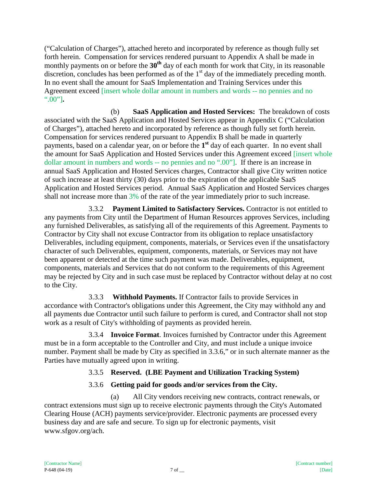("Calculation of Charges"), attached hereto and incorporated by reference as though fully set forth herein. Compensation for services rendered pursuant to Appendix A shall be made in monthly payments on or before the 30<sup>th</sup> day of each month for work that City, in its reasonable discretion, concludes has been performed as of the  $1<sup>st</sup>$  day of the immediately preceding month. In no event shall the amount for SaaS Implementation and Training Services under this Agreement exceed [insert whole dollar amount in numbers and words -- no pennies and no ".00"]**.**

(b) **SaaS Application and Hosted Services:** The breakdown of costs associated with the SaaS Application and Hosted Services appear in Appendix C ("Calculation of Charges"), attached hereto and incorporated by reference as though fully set forth herein. Compensation for services rendered pursuant to Appendix B shall be made in quarterly payments, based on a calendar year, on or before the **1st** day of each quarter. In no event shall the amount for SaaS Application and Hosted Services under this Agreement exceed [insert whole dollar amount in numbers and words -- no pennies and no ".00"]. If there is an increase in annual SaaS Application and Hosted Services charges, Contractor shall give City written notice of such increase at least thirty (30) days prior to the expiration of the applicable SaaS Application and Hosted Services period. Annual SaaS Application and Hosted Services charges shall not increase more than 3% of the rate of the year immediately prior to such increase.

3.3.2 **Payment Limited to Satisfactory Services.** Contractor is not entitled to any payments from City until the Department of Human Resources approves Services, including any furnished Deliverables, as satisfying all of the requirements of this Agreement. Payments to Contractor by City shall not excuse Contractor from its obligation to replace unsatisfactory Deliverables, including equipment, components, materials, or Services even if the unsatisfactory character of such Deliverables, equipment, components, materials, or Services may not have been apparent or detected at the time such payment was made. Deliverables, equipment, components, materials and Services that do not conform to the requirements of this Agreement may be rejected by City and in such case must be replaced by Contractor without delay at no cost to the City.

3.3.3 **Withhold Payments.** If Contractor fails to provide Services in accordance with Contractor's obligations under this Agreement, the City may withhold any and all payments due Contractor until such failure to perform is cured, and Contractor shall not stop work as a result of City's withholding of payments as provided herein.

3.3.4 **Invoice Format**. Invoices furnished by Contractor under this Agreement must be in a form acceptable to the Controller and City, and must include a unique invoice number. Payment shall be made by City as specified in 3.3.6," or in such alternate manner as the Parties have mutually agreed upon in writing.

# 3.3.5 **Reserved. (LBE Payment and Utilization Tracking System)**

# 3.3.6 **Getting paid for goods and/or services from the City.**

(a) All City vendors receiving new contracts, contract renewals, or contract extensions must sign up to receive electronic payments through the City's Automated Clearing House (ACH) payments service/provider. Electronic payments are processed every business day and are safe and secure. To sign up for electronic payments, visit www.sfgov.org/ach.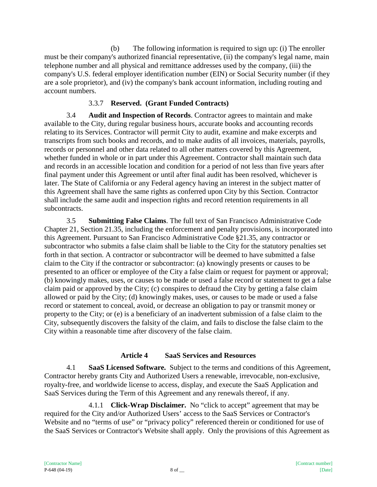(b) The following information is required to sign up: (i) The enroller must be their company's authorized financial representative, (ii) the company's legal name, main telephone number and all physical and remittance addresses used by the company, (iii) the company's U.S. federal employer identification number (EIN) or Social Security number (if they are a sole proprietor), and (iv) the company's bank account information, including routing and account numbers.

# 3.3.7 **Reserved. (Grant Funded Contracts)**

3.4 **Audit and Inspection of Records**. Contractor agrees to maintain and make available to the City, during regular business hours, accurate books and accounting records relating to its Services. Contractor will permit City to audit, examine and make excerpts and transcripts from such books and records, and to make audits of all invoices, materials, payrolls, records or personnel and other data related to all other matters covered by this Agreement, whether funded in whole or in part under this Agreement. Contractor shall maintain such data and records in an accessible location and condition for a period of not less than five years after final payment under this Agreement or until after final audit has been resolved, whichever is later. The State of California or any Federal agency having an interest in the subject matter of this Agreement shall have the same rights as conferred upon City by this Section. Contractor shall include the same audit and inspection rights and record retention requirements in all subcontracts.

3.5 **Submitting False Claims**. The full text of San Francisco Administrative Code Chapter 21, Section 21.35, including the enforcement and penalty provisions, is incorporated into this Agreement. Pursuant to San Francisco Administrative Code §21.35, any contractor or subcontractor who submits a false claim shall be liable to the City for the statutory penalties set forth in that section. A contractor or subcontractor will be deemed to have submitted a false claim to the City if the contractor or subcontractor: (a) knowingly presents or causes to be presented to an officer or employee of the City a false claim or request for payment or approval; (b) knowingly makes, uses, or causes to be made or used a false record or statement to get a false claim paid or approved by the City; (c) conspires to defraud the City by getting a false claim allowed or paid by the City; (d) knowingly makes, uses, or causes to be made or used a false record or statement to conceal, avoid, or decrease an obligation to pay or transmit money or property to the City; or (e) is a beneficiary of an inadvertent submission of a false claim to the City, subsequently discovers the falsity of the claim, and fails to disclose the false claim to the City within a reasonable time after discovery of the false claim.

## **Article 4 SaaS Services and Resources**

4.1 **SaaS Licensed Software.** Subject to the terms and conditions of this Agreement, Contractor hereby grants City and Authorized Users a renewable, irrevocable, non-exclusive, royalty-free, and worldwide license to access, display, and execute the SaaS Application and SaaS Services during the Term of this Agreement and any renewals thereof, if any.

4.1.1 **Click-Wrap Disclaimer.** No "click to accept" agreement that may be required for the City and/or Authorized Users' access to the SaaS Services or Contractor's Website and no "terms of use" or "privacy policy" referenced therein or conditioned for use of the SaaS Services or Contractor's Website shall apply. Only the provisions of this Agreement as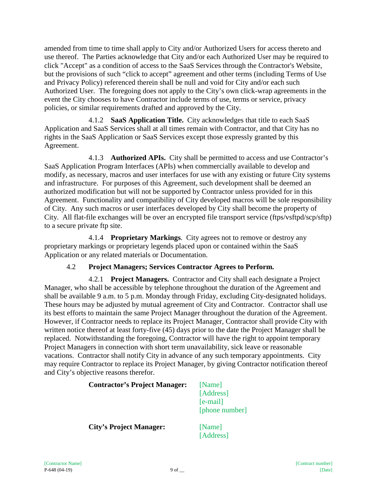amended from time to time shall apply to City and/or Authorized Users for access thereto and use thereof. The Parties acknowledge that City and/or each Authorized User may be required to click "Accept" as a condition of access to the SaaS Services through the Contractor's Website, but the provisions of such "click to accept" agreement and other terms (including Terms of Use and Privacy Policy) referenced therein shall be null and void for City and/or each such Authorized User. The foregoing does not apply to the City's own click-wrap agreements in the event the City chooses to have Contractor include terms of use, terms or service, privacy policies, or similar requirements drafted and approved by the City.

4.1.2 **SaaS Application Title.** City acknowledges that title to each SaaS Application and SaaS Services shall at all times remain with Contractor, and that City has no rights in the SaaS Application or SaaS Services except those expressly granted by this Agreement.

4.1.3 **Authorized APIs.** City shall be permitted to access and use Contractor's SaaS Application Program Interfaces (APIs) when commercially available to develop and modify, as necessary, macros and user interfaces for use with any existing or future City systems and infrastructure. For purposes of this Agreement, such development shall be deemed an authorized modification but will not be supported by Contractor unless provided for in this Agreement. Functionality and compatibility of City developed macros will be sole responsibility of City. Any such macros or user interfaces developed by City shall become the property of City. All flat-file exchanges will be over an encrypted file transport service (ftps/vsftpd/scp/sftp) to a secure private ftp site.

4.1.4 **Proprietary Markings**. City agrees not to remove or destroy any proprietary markings or proprietary legends placed upon or contained within the SaaS Application or any related materials or Documentation.

# 4.2 **Project Managers; Services Contractor Agrees to Perform.**

4.2.1 **Project Managers.** Contractor and City shall each designate a Project Manager, who shall be accessible by telephone throughout the duration of the Agreement and shall be available 9 a.m. to 5 p.m. Monday through Friday, excluding City-designated holidays. These hours may be adjusted by mutual agreement of City and Contractor. Contractor shall use its best efforts to maintain the same Project Manager throughout the duration of the Agreement. However, if Contractor needs to replace its Project Manager, Contractor shall provide City with written notice thereof at least forty-five (45) days prior to the date the Project Manager shall be replaced. Notwithstanding the foregoing, Contractor will have the right to appoint temporary Project Managers in connection with short term unavailability, sick leave or reasonable vacations. Contractor shall notify City in advance of any such temporary appointments. City may require Contractor to replace its Project Manager, by giving Contractor notification thereof and City's objective reasons therefor.

| <b>Contractor's Project Manager:</b> | [Name]<br>[Address]<br>$[e-mail]$<br>[phone number] |
|--------------------------------------|-----------------------------------------------------|
| <b>City's Project Manager:</b>       | [Name]<br>[Address]                                 |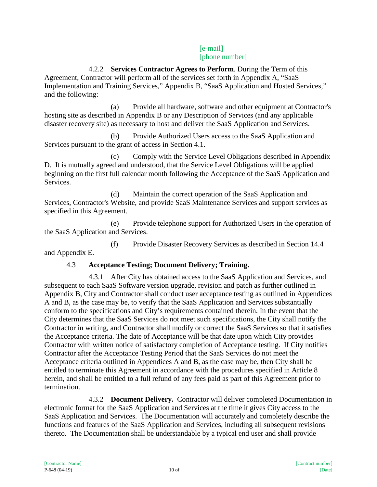## [e-mail] [phone number]

4.2.2 **Services Contractor Agrees to Perform**. During the Term of this Agreement, Contractor will perform all of the services set forth in Appendix A, "SaaS Implementation and Training Services," Appendix B, "SaaS Application and Hosted Services," and the following:

(a) Provide all hardware, software and other equipment at Contractor's hosting site as described in Appendix B or any Description of Services (and any applicable disaster recovery site) as necessary to host and deliver the SaaS Application and Services.

(b) Provide Authorized Users access to the SaaS Application and Services pursuant to the grant of access in Section 4.1.

(c) Comply with the Service Level Obligations described in Appendix D. It is mutually agreed and understood, that the Service Level Obligations will be applied beginning on the first full calendar month following the Acceptance of the SaaS Application and Services.

(d) Maintain the correct operation of the SaaS Application and Services, Contractor's Website, and provide SaaS Maintenance Services and support services as specified in this Agreement.

(e) Provide telephone support for Authorized Users in the operation of the SaaS Application and Services.

(f) Provide Disaster Recovery Services as described in Section 14.4 and Appendix E.

# 4.3 **Acceptance Testing; Document Delivery; Training.**

4.3.1 After City has obtained access to the SaaS Application and Services, and subsequent to each SaaS Software version upgrade, revision and patch as further outlined in Appendix B, City and Contractor shall conduct user acceptance testing as outlined in Appendices A and B, as the case may be, to verify that the SaaS Application and Services substantially conform to the specifications and City's requirements contained therein. In the event that the City determines that the SaaS Services do not meet such specifications, the City shall notify the Contractor in writing, and Contractor shall modify or correct the SaaS Services so that it satisfies the Acceptance criteria. The date of Acceptance will be that date upon which City provides Contractor with written notice of satisfactory completion of Acceptance testing. If City notifies Contractor after the Acceptance Testing Period that the SaaS Services do not meet the Acceptance criteria outlined in Appendices A and B, as the case may be, then City shall be entitled to terminate this Agreement in accordance with the procedures specified in Article 8 herein, and shall be entitled to a full refund of any fees paid as part of this Agreement prior to termination.

4.3.2 **Document Delivery.** Contractor will deliver completed Documentation in electronic format for the SaaS Application and Services at the time it gives City access to the SaaS Application and Services. The Documentation will accurately and completely describe the functions and features of the SaaS Application and Services, including all subsequent revisions thereto. The Documentation shall be understandable by a typical end user and shall provide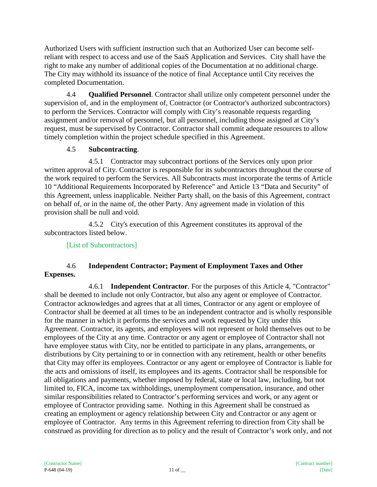Authorized Users with sufficient instruction such that an Authorized User can become selfreliant with respect to access and use of the SaaS Application and Services. City shall have the right to make any number of additional copies of the Documentation at no additional charge. The City may withhold its issuance of the notice of final Acceptance until City receives the completed Documentation.

4.4 **Qualified Personnel**. Contractor shall utilize only competent personnel under the supervision of, and in the employment of, Contractor (or Contractor's authorized subcontractors) to perform the Services. Contractor will comply with City's reasonable requests regarding assignment and/or removal of personnel, but all personnel, including those assigned at City's request, must be supervised by Contractor. Contractor shall commit adequate resources to allow timely completion within the project schedule specified in this Agreement.

# 4.5 **Subcontracting**.

4.5.1 Contractor may subcontract portions of the Services only upon prior written approval of City. Contractor is responsible for its subcontractors throughout the course of the work required to perform the Services. All Subcontracts must incorporate the terms of Article 10 "Additional Requirements Incorporated by Reference" and Article 13 "Data and Security" of this Agreement, unless inapplicable. Neither Party shall, on the basis of this Agreement, contract on behalf of, or in the name of, the other Party. Any agreement made in violation of this provision shall be null and void.

4.5.2 City's execution of this Agreement constitutes its approval of the subcontractors listed below.

[List of Subcontractors]

## 4.6 **Independent Contractor; Payment of Employment Taxes and Other Expenses.**

4.6.1 **Independent Contractor**. For the purposes of this Article 4, "Contractor" shall be deemed to include not only Contractor, but also any agent or employee of Contractor. Contractor acknowledges and agrees that at all times, Contractor or any agent or employee of Contractor shall be deemed at all times to be an independent contractor and is wholly responsible for the manner in which it performs the services and work requested by City under this Agreement. Contractor, its agents, and employees will not represent or hold themselves out to be employees of the City at any time. Contractor or any agent or employee of Contractor shall not have employee status with City, nor be entitled to participate in any plans, arrangements, or distributions by City pertaining to or in connection with any retirement, health or other benefits that City may offer its employees. Contractor or any agent or employee of Contractor is liable for the acts and omissions of itself, its employees and its agents. Contractor shall be responsible for all obligations and payments, whether imposed by federal, state or local law, including, but not limited to, FICA, income tax withholdings, unemployment compensation, insurance, and other similar responsibilities related to Contractor's performing services and work, or any agent or employee of Contractor providing same. Nothing in this Agreement shall be construed as creating an employment or agency relationship between City and Contractor or any agent or employee of Contractor. Any terms in this Agreement referring to direction from City shall be construed as providing for direction as to policy and the result of Contractor's work only, and not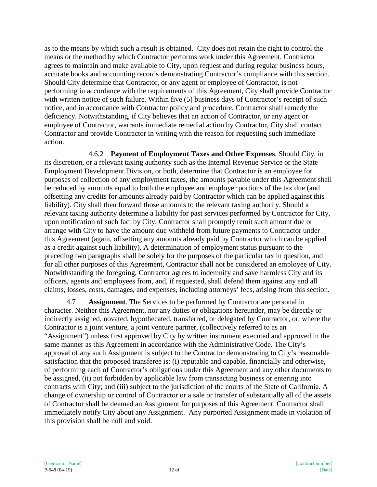as to the means by which such a result is obtained. City does not retain the right to control the means or the method by which Contractor performs work under this Agreement. Contractor agrees to maintain and make available to City, upon request and during regular business hours, accurate books and accounting records demonstrating Contractor's compliance with this section. Should City determine that Contractor, or any agent or employee of Contractor, is not performing in accordance with the requirements of this Agreement, City shall provide Contractor with written notice of such failure. Within five (5) business days of Contractor's receipt of such notice, and in accordance with Contractor policy and procedure, Contractor shall remedy the deficiency. Notwithstanding, if City believes that an action of Contractor, or any agent or employee of Contractor, warrants immediate remedial action by Contractor, City shall contact Contractor and provide Contractor in writing with the reason for requesting such immediate action.

4.6.2 **Payment of Employment Taxes and Other Expenses**. Should City, in its discretion, or a relevant taxing authority such as the Internal Revenue Service or the State Employment Development Division, or both, determine that Contractor is an employee for purposes of collection of any employment taxes, the amounts payable under this Agreement shall be reduced by amounts equal to both the employee and employer portions of the tax due (and offsetting any credits for amounts already paid by Contractor which can be applied against this liability). City shall then forward those amounts to the relevant taxing authority. Should a relevant taxing authority determine a liability for past services performed by Contractor for City, upon notification of such fact by City, Contractor shall promptly remit such amount due or arrange with City to have the amount due withheld from future payments to Contractor under this Agreement (again, offsetting any amounts already paid by Contractor which can be applied as a credit against such liability). A determination of employment status pursuant to the preceding two paragraphs shall be solely for the purposes of the particular tax in question, and for all other purposes of this Agreement, Contractor shall not be considered an employee of City. Notwithstanding the foregoing, Contractor agrees to indemnify and save harmless City and its officers, agents and employees from, and, if requested, shall defend them against any and all claims, losses, costs, damages, and expenses, including attorneys' fees, arising from this section.

4.7 **Assignment**. The Services to be performed by Contractor are personal in character. Neither this Agreement, nor any duties or obligations hereunder, may be directly or indirectly assigned, novated, hypothecated, transferred, or delegated by Contractor, or, where the Contractor is a joint venture, a joint venture partner, (collectively referred to as an "Assignment") unless first approved by City by written instrument executed and approved in the same manner as this Agreement in accordance with the Administrative Code. The City's approval of any such Assignment is subject to the Contractor demonstrating to City's reasonable satisfaction that the proposed transferee is: (i) reputable and capable, financially and otherwise, of performing each of Contractor's obligations under this Agreement and any other documents to be assigned, (ii) not forbidden by applicable law from transacting business or entering into contracts with City; and (iii) subject to the jurisdiction of the courts of the State of California. A change of ownership or control of Contractor or a sale or transfer of substantially all of the assets of Contractor shall be deemed an Assignment for purposes of this Agreement. Contractor shall immediately notify City about any Assignment. Any purported Assignment made in violation of this provision shall be null and void.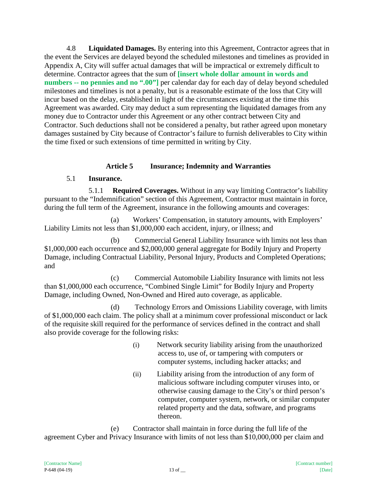4.8 **Liquidated Damages.** By entering into this Agreement, Contractor agrees that in the event the Services are delayed beyond the scheduled milestones and timelines as provided in Appendix A, City will suffer actual damages that will be impractical or extremely difficult to determine. Contractor agrees that the sum of **[insert whole dollar amount in words and numbers -- no pennies and no ".00"]** per calendar day for each day of delay beyond scheduled milestones and timelines is not a penalty, but is a reasonable estimate of the loss that City will incur based on the delay, established in light of the circumstances existing at the time this Agreement was awarded. City may deduct a sum representing the liquidated damages from any money due to Contractor under this Agreement or any other contract between City and Contractor. Such deductions shall not be considered a penalty, but rather agreed upon monetary damages sustained by City because of Contractor's failure to furnish deliverables to City within the time fixed or such extensions of time permitted in writing by City.

## **Article 5 Insurance; Indemnity and Warranties**

## 5.1 **Insurance.**

5.1.1 **Required Coverages.** Without in any way limiting Contractor's liability pursuant to the "Indemnification" section of this Agreement, Contractor must maintain in force, during the full term of the Agreement, insurance in the following amounts and coverages:

(a) Workers' Compensation, in statutory amounts, with Employers' Liability Limits not less than \$1,000,000 each accident, injury, or illness; and

(b) Commercial General Liability Insurance with limits not less than \$1,000,000 each occurrence and \$2,000,000 general aggregate for Bodily Injury and Property Damage, including Contractual Liability, Personal Injury, Products and Completed Operations; and

(c) Commercial Automobile Liability Insurance with limits not less than \$1,000,000 each occurrence, "Combined Single Limit" for Bodily Injury and Property Damage, including Owned, Non-Owned and Hired auto coverage, as applicable.

(d) Technology Errors and Omissions Liability coverage, with limits of \$1,000,000 each claim. The policy shall at a minimum cover professional misconduct or lack of the requisite skill required for the performance of services defined in the contract and shall also provide coverage for the following risks:

- (i) Network security liability arising from the unauthorized access to, use of, or tampering with computers or computer systems, including hacker attacks; and
- (ii) Liability arising from the introduction of any form of malicious software including computer viruses into, or otherwise causing damage to the City's or third person's computer, computer system, network, or similar computer related property and the data, software, and programs thereon.

(e) Contractor shall maintain in force during the full life of the agreement Cyber and Privacy Insurance with limits of not less than \$10,000,000 per claim and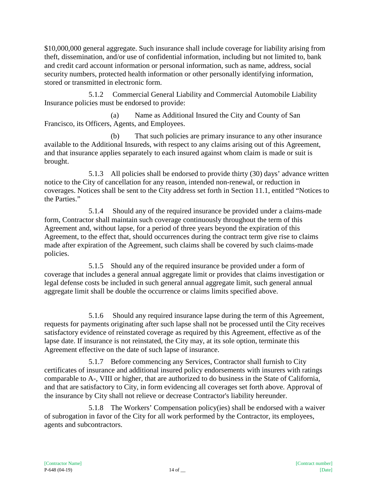\$10,000,000 general aggregate. Such insurance shall include coverage for liability arising from theft, dissemination, and/or use of confidential information, including but not limited to, bank and credit card account information or personal information, such as name, address, social security numbers, protected health information or other personally identifying information, stored or transmitted in electronic form.

5.1.2 Commercial General Liability and Commercial Automobile Liability Insurance policies must be endorsed to provide:

(a) Name as Additional Insured the City and County of San Francisco, its Officers, Agents, and Employees.

(b) That such policies are primary insurance to any other insurance available to the Additional Insureds, with respect to any claims arising out of this Agreement, and that insurance applies separately to each insured against whom claim is made or suit is brought.

5.1.3 All policies shall be endorsed to provide thirty (30) days' advance written notice to the City of cancellation for any reason, intended non-renewal, or reduction in coverages. Notices shall be sent to the City address set forth in Section 11.1, entitled "Notices to the Parties."

5.1.4 Should any of the required insurance be provided under a claims-made form, Contractor shall maintain such coverage continuously throughout the term of this Agreement and, without lapse, for a period of three years beyond the expiration of this Agreement, to the effect that, should occurrences during the contract term give rise to claims made after expiration of the Agreement, such claims shall be covered by such claims-made policies.

5.1.5 Should any of the required insurance be provided under a form of coverage that includes a general annual aggregate limit or provides that claims investigation or legal defense costs be included in such general annual aggregate limit, such general annual aggregate limit shall be double the occurrence or claims limits specified above.

5.1.6 Should any required insurance lapse during the term of this Agreement, requests for payments originating after such lapse shall not be processed until the City receives satisfactory evidence of reinstated coverage as required by this Agreement, effective as of the lapse date. If insurance is not reinstated, the City may, at its sole option, terminate this Agreement effective on the date of such lapse of insurance.

5.1.7 Before commencing any Services, Contractor shall furnish to City certificates of insurance and additional insured policy endorsements with insurers with ratings comparable to A-, VIII or higher, that are authorized to do business in the State of California, and that are satisfactory to City, in form evidencing all coverages set forth above. Approval of the insurance by City shall not relieve or decrease Contractor's liability hereunder.

5.1.8 The Workers' Compensation policy(ies) shall be endorsed with a waiver of subrogation in favor of the City for all work performed by the Contractor, its employees, agents and subcontractors.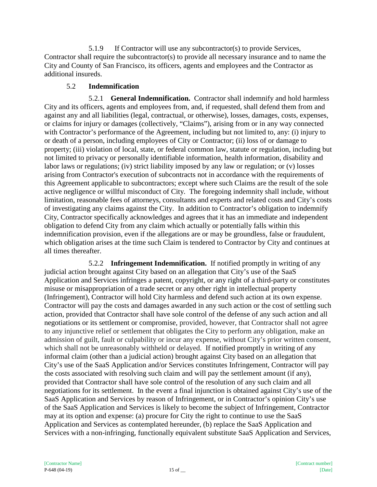5.1.9 If Contractor will use any subcontractor(s) to provide Services, Contractor shall require the subcontractor(s) to provide all necessary insurance and to name the City and County of San Francisco, its officers, agents and employees and the Contractor as additional insureds.

## 5.2 **Indemnification**

5.2.1 **General Indemnification.** Contractor shall indemnify and hold harmless City and its officers, agents and employees from, and, if requested, shall defend them from and against any and all liabilities (legal, contractual, or otherwise), losses, damages, costs, expenses, or claims for injury or damages (collectively, "Claims"), arising from or in any way connected with Contractor's performance of the Agreement, including but not limited to, any: (i) injury to or death of a person, including employees of City or Contractor; (ii) loss of or damage to property; (iii) violation of local, state, or federal common law, statute or regulation, including but not limited to privacy or personally identifiable information, health information, disability and labor laws or regulations; (iv) strict liability imposed by any law or regulation; or (v) losses arising from Contractor's execution of subcontracts not in accordance with the requirements of this Agreement applicable to subcontractors; except where such Claims are the result of the sole active negligence or willful misconduct of City. The foregoing indemnity shall include, without limitation, reasonable fees of attorneys, consultants and experts and related costs and City's costs of investigating any claims against the City. In addition to Contractor's obligation to indemnify City, Contractor specifically acknowledges and agrees that it has an immediate and independent obligation to defend City from any claim which actually or potentially falls within this indemnification provision, even if the allegations are or may be groundless, false or fraudulent, which obligation arises at the time such Claim is tendered to Contractor by City and continues at all times thereafter.

5.2.2 **Infringement Indemnification.** If notified promptly in writing of any judicial action brought against City based on an allegation that City's use of the SaaS Application and Services infringes a patent, copyright, or any right of a third-party or constitutes misuse or misappropriation of a trade secret or any other right in intellectual property (Infringement), Contractor will hold City harmless and defend such action at its own expense. Contractor will pay the costs and damages awarded in any such action or the cost of settling such action, provided that Contractor shall have sole control of the defense of any such action and all negotiations or its settlement or compromise, provided, however, that Contractor shall not agree to any injunctive relief or settlement that obligates the City to perform any obligation, make an admission of guilt, fault or culpability or incur any expense, without City's prior written consent, which shall not be unreasonably withheld or delayed. If notified promptly in writing of any informal claim (other than a judicial action) brought against City based on an allegation that City's use of the SaaS Application and/or Services constitutes Infringement, Contractor will pay the costs associated with resolving such claim and will pay the settlement amount (if any), provided that Contractor shall have sole control of the resolution of any such claim and all negotiations for its settlement. In the event a final injunction is obtained against City's use of the SaaS Application and Services by reason of Infringement, or in Contractor's opinion City's use of the SaaS Application and Services is likely to become the subject of Infringement, Contractor may at its option and expense: (a) procure for City the right to continue to use the SaaS Application and Services as contemplated hereunder, (b) replace the SaaS Application and Services with a non-infringing, functionally equivalent substitute SaaS Application and Services,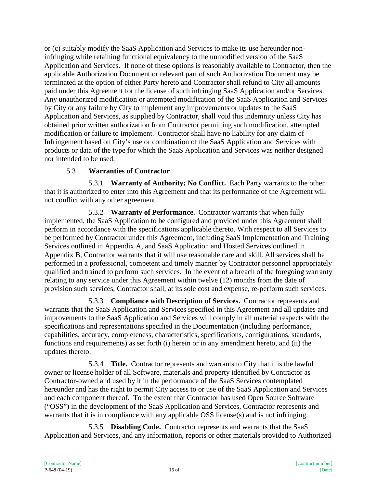or (c) suitably modify the SaaS Application and Services to make its use hereunder noninfringing while retaining functional equivalency to the unmodified version of the SaaS Application and Services. If none of these options is reasonably available to Contractor, then the applicable Authorization Document or relevant part of such Authorization Document may be terminated at the option of either Party hereto and Contractor shall refund to City all amounts paid under this Agreement for the license of such infringing SaaS Application and/or Services. Any unauthorized modification or attempted modification of the SaaS Application and Services by City or any failure by City to implement any improvements or updates to the SaaS Application and Services, as supplied by Contractor, shall void this indemnity unless City has obtained prior written authorization from Contractor permitting such modification, attempted modification or failure to implement. Contractor shall have no liability for any claim of Infringement based on City's use or combination of the SaaS Application and Services with products or data of the type for which the SaaS Application and Services was neither designed nor intended to be used.

## 5.3 **Warranties of Contractor**

5.3.1 **Warranty of Authority; No Conflict.** Each Party warrants to the other that it is authorized to enter into this Agreement and that its performance of the Agreement will not conflict with any other agreement.

5.3.2 **Warranty of Performance.** Contractor warrants that when fully implemented, the SaaS Application to be configured and provided under this Agreement shall perform in accordance with the specifications applicable thereto. With respect to all Services to be performed by Contractor under this Agreement, including SaaS Implementation and Training Services outlined in Appendix A, and SaaS Application and Hosted Services outlined in Appendix B, Contractor warrants that it will use reasonable care and skill. All services shall be performed in a professional, competent and timely manner by Contractor personnel appropriately qualified and trained to perform such services. In the event of a breach of the foregoing warranty relating to any service under this Agreement within twelve (12) months from the date of provision such services, Contractor shall, at its sole cost and expense, re-perform such services.

5.3.3 **Compliance with Description of Services.** Contractor represents and warrants that the SaaS Application and Services specified in this Agreement and all updates and improvements to the SaaS Application and Services will comply in all material respects with the specifications and representations specified in the Documentation (including performance, capabilities, accuracy, completeness, characteristics, specifications, configurations, standards, functions and requirements) as set forth (i) herein or in any amendment hereto, and (ii) the updates thereto.

5.3.4 **Title.** Contractor represents and warrants to City that it is the lawful owner or license holder of all Software, materials and property identified by Contractor as Contractor-owned and used by it in the performance of the SaaS Services contemplated hereunder and has the right to permit City access to or use of the SaaS Application and Services and each component thereof. To the extent that Contractor has used Open Source Software ("OSS") in the development of the SaaS Application and Services, Contractor represents and warrants that it is in compliance with any applicable OSS license(s) and is not infringing.

5.3.5 **Disabling Code.** Contractor represents and warrants that the SaaS Application and Services, and any information, reports or other materials provided to Authorized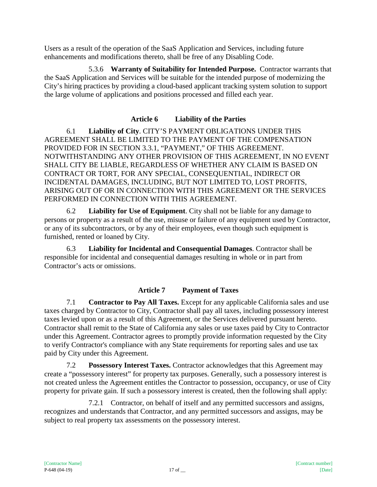Users as a result of the operation of the SaaS Application and Services, including future enhancements and modifications thereto, shall be free of any Disabling Code.

5.3.6 **Warranty of Suitability for Intended Purpose.** Contractor warrants that the SaaS Application and Services will be suitable for the intended purpose of modernizing the City's hiring practices by providing a cloud-based applicant tracking system solution to support the large volume of applications and positions processed and filled each year.

## **Article 6 Liability of the Parties**

6.1 **Liability of City**. CITY'S PAYMENT OBLIGATIONS UNDER THIS AGREEMENT SHALL BE LIMITED TO THE PAYMENT OF THE COMPENSATION PROVIDED FOR IN SECTION 3.3.1, "PAYMENT," OF THIS AGREEMENT. NOTWITHSTANDING ANY OTHER PROVISION OF THIS AGREEMENT, IN NO EVENT SHALL CITY BE LIABLE, REGARDLESS OF WHETHER ANY CLAIM IS BASED ON CONTRACT OR TORT, FOR ANY SPECIAL, CONSEQUENTIAL, INDIRECT OR INCIDENTAL DAMAGES, INCLUDING, BUT NOT LIMITED TO, LOST PROFITS, ARISING OUT OF OR IN CONNECTION WITH THIS AGREEMENT OR THE SERVICES PERFORMED IN CONNECTION WITH THIS AGREEMENT.

6.2 **Liability for Use of Equipment**. City shall not be liable for any damage to persons or property as a result of the use, misuse or failure of any equipment used by Contractor, or any of its subcontractors, or by any of their employees, even though such equipment is furnished, rented or loaned by City.

6.3 **Liability for Incidental and Consequential Damages**. Contractor shall be responsible for incidental and consequential damages resulting in whole or in part from Contractor's acts or omissions.

# **Article 7 Payment of Taxes**

7.1 **Contractor to Pay All Taxes.** Except for any applicable California sales and use taxes charged by Contractor to City, Contractor shall pay all taxes, including possessory interest taxes levied upon or as a result of this Agreement, or the Services delivered pursuant hereto. Contractor shall remit to the State of California any sales or use taxes paid by City to Contractor under this Agreement. Contractor agrees to promptly provide information requested by the City to verify Contractor's compliance with any State requirements for reporting sales and use tax paid by City under this Agreement.

7.2 **Possessory Interest Taxes.** Contractor acknowledges that this Agreement may create a "possessory interest" for property tax purposes. Generally, such a possessory interest is not created unless the Agreement entitles the Contractor to possession, occupancy, or use of City property for private gain. If such a possessory interest is created, then the following shall apply:

7.2.1 Contractor, on behalf of itself and any permitted successors and assigns, recognizes and understands that Contractor, and any permitted successors and assigns, may be subject to real property tax assessments on the possessory interest.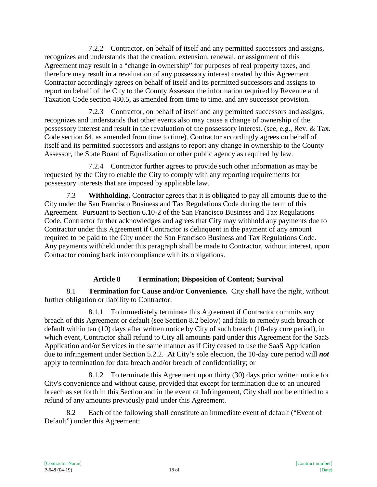7.2.2 Contractor, on behalf of itself and any permitted successors and assigns, recognizes and understands that the creation, extension, renewal, or assignment of this Agreement may result in a "change in ownership" for purposes of real property taxes, and therefore may result in a revaluation of any possessory interest created by this Agreement. Contractor accordingly agrees on behalf of itself and its permitted successors and assigns to report on behalf of the City to the County Assessor the information required by Revenue and Taxation Code section 480.5, as amended from time to time, and any successor provision.

7.2.3 Contractor, on behalf of itself and any permitted successors and assigns, recognizes and understands that other events also may cause a change of ownership of the possessory interest and result in the revaluation of the possessory interest. (see, e.g., Rev. & Tax. Code section 64, as amended from time to time). Contractor accordingly agrees on behalf of itself and its permitted successors and assigns to report any change in ownership to the County Assessor, the State Board of Equalization or other public agency as required by law.

7.2.4 Contractor further agrees to provide such other information as may be requested by the City to enable the City to comply with any reporting requirements for possessory interests that are imposed by applicable law.

7.3 **Withholding.** Contractor agrees that it is obligated to pay all amounts due to the City under the San Francisco Business and Tax Regulations Code during the term of this Agreement. Pursuant to Section 6.10-2 of the San Francisco Business and Tax Regulations Code, Contractor further acknowledges and agrees that City may withhold any payments due to Contractor under this Agreement if Contractor is delinquent in the payment of any amount required to be paid to the City under the San Francisco Business and Tax Regulations Code. Any payments withheld under this paragraph shall be made to Contractor, without interest, upon Contractor coming back into compliance with its obligations.

# **Article 8 Termination; Disposition of Content; Survival**

8.1 **Termination for Cause and/or Convenience.** City shall have the right, without further obligation or liability to Contractor:

8.1.1 To immediately terminate this Agreement if Contractor commits any breach of this Agreement or default (see Section 8.2 below) and fails to remedy such breach or default within ten (10) days after written notice by City of such breach (10-day cure period), in which event, Contractor shall refund to City all amounts paid under this Agreement for the SaaS Application and/or Services in the same manner as if City ceased to use the SaaS Application due to infringement under Section 5.2.2. At City's sole election, the 10-day cure period will *not* apply to termination for data breach and/or breach of confidentiality; or

8.1.2 To terminate this Agreement upon thirty (30) days prior written notice for City's convenience and without cause, provided that except for termination due to an uncured breach as set forth in this Section and in the event of Infringement, City shall not be entitled to a refund of any amounts previously paid under this Agreement.

8.2 Each of the following shall constitute an immediate event of default ("Event of Default") under this Agreement: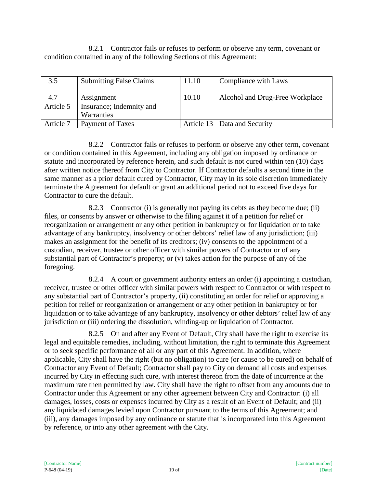8.2.1 Contractor fails or refuses to perform or observe any term, covenant or condition contained in any of the following Sections of this Agreement:

| 3.5       | <b>Submitting False Claims</b> | 11.10 | Compliance with Laws            |
|-----------|--------------------------------|-------|---------------------------------|
| 4.7       | Assignment                     | 10.10 | Alcohol and Drug-Free Workplace |
| Article 5 | Insurance; Indemnity and       |       |                                 |
|           | Warranties                     |       |                                 |
| Article 7 | Payment of Taxes               |       | Article 13   Data and Security  |

8.2.2 Contractor fails or refuses to perform or observe any other term, covenant or condition contained in this Agreement, including any obligation imposed by ordinance or statute and incorporated by reference herein, and such default is not cured within ten (10) days after written notice thereof from City to Contractor. If Contractor defaults a second time in the same manner as a prior default cured by Contractor, City may in its sole discretion immediately terminate the Agreement for default or grant an additional period not to exceed five days for Contractor to cure the default.

8.2.3 Contractor (i) is generally not paying its debts as they become due; (ii) files, or consents by answer or otherwise to the filing against it of a petition for relief or reorganization or arrangement or any other petition in bankruptcy or for liquidation or to take advantage of any bankruptcy, insolvency or other debtors' relief law of any jurisdiction; (iii) makes an assignment for the benefit of its creditors; (iv) consents to the appointment of a custodian, receiver, trustee or other officer with similar powers of Contractor or of any substantial part of Contractor's property; or (v) takes action for the purpose of any of the foregoing.

8.2.4 A court or government authority enters an order (i) appointing a custodian, receiver, trustee or other officer with similar powers with respect to Contractor or with respect to any substantial part of Contractor's property, (ii) constituting an order for relief or approving a petition for relief or reorganization or arrangement or any other petition in bankruptcy or for liquidation or to take advantage of any bankruptcy, insolvency or other debtors' relief law of any jurisdiction or (iii) ordering the dissolution, winding-up or liquidation of Contractor.

8.2.5 On and after any Event of Default, City shall have the right to exercise its legal and equitable remedies, including, without limitation, the right to terminate this Agreement or to seek specific performance of all or any part of this Agreement. In addition, where applicable, City shall have the right (but no obligation) to cure (or cause to be cured) on behalf of Contractor any Event of Default; Contractor shall pay to City on demand all costs and expenses incurred by City in effecting such cure, with interest thereon from the date of incurrence at the maximum rate then permitted by law. City shall have the right to offset from any amounts due to Contractor under this Agreement or any other agreement between City and Contractor: (i) all damages, losses, costs or expenses incurred by City as a result of an Event of Default; and (ii) any liquidated damages levied upon Contractor pursuant to the terms of this Agreement; and (iii), any damages imposed by any ordinance or statute that is incorporated into this Agreement by reference, or into any other agreement with the City.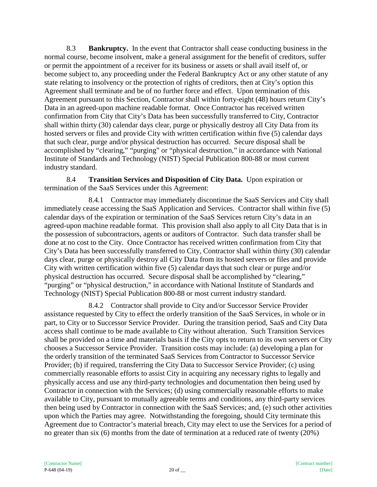8.3 **Bankruptcy.** In the event that Contractor shall cease conducting business in the normal course, become insolvent, make a general assignment for the benefit of creditors, suffer or permit the appointment of a receiver for its business or assets or shall avail itself of, or become subject to, any proceeding under the Federal Bankruptcy Act or any other statute of any state relating to insolvency or the protection of rights of creditors, then at City's option this Agreement shall terminate and be of no further force and effect. Upon termination of this Agreement pursuant to this Section, Contractor shall within forty-eight (48) hours return City's Data in an agreed-upon machine readable format. Once Contractor has received written confirmation from City that City's Data has been successfully transferred to City, Contractor shall within thirty (30) calendar days clear, purge or physically destroy all City Data from its hosted servers or files and provide City with written certification within five (5) calendar days that such clear, purge and/or physical destruction has occurred. Secure disposal shall be accomplished by "clearing," "purging" or "physical destruction," in accordance with National Institute of Standards and Technology (NIST) Special Publication 800-88 or most current industry standard.

8.4 **Transition Services and Disposition of City Data.** Upon expiration or termination of the SaaS Services under this Agreement:

8.4.1 Contractor may immediately discontinue the SaaS Services and City shall immediately cease accessing the SaaS Application and Services. Contractor shall within five (5) calendar days of the expiration or termination of the SaaS Services return City's data in an agreed-upon machine readable format. This provision shall also apply to all City Data that is in the possession of subcontractors, agents or auditors of Contractor. Such data transfer shall be done at no cost to the City. Once Contractor has received written confirmation from City that City's Data has been successfully transferred to City, Contractor shall within thirty (30) calendar days clear, purge or physically destroy all City Data from its hosted servers or files and provide City with written certification within five (5) calendar days that such clear or purge and/or physical destruction has occurred. Secure disposal shall be accomplished by "clearing," "purging" or "physical destruction," in accordance with National Institute of Standards and Technology (NIST) Special Publication 800-88 or most current industry standard.

8.4.2 Contractor shall provide to City and/or Successor Service Provider assistance requested by City to effect the orderly transition of the SaaS Services, in whole or in part, to City or to Successor Service Provider. During the transition period, SaaS and City Data access shall continue to be made available to City without alteration. Such Transition Services shall be provided on a time and materials basis if the City opts to return to its own servers or City chooses a Successor Service Provider. Transition costs may include: (a) developing a plan for the orderly transition of the terminated SaaS Services from Contractor to Successor Service Provider; (b) if required, transferring the City Data to Successor Service Provider; (c) using commercially reasonable efforts to assist City in acquiring any necessary rights to legally and physically access and use any third-party technologies and documentation then being used by Contractor in connection with the Services; (d) using commercially reasonable efforts to make available to City, pursuant to mutually agreeable terms and conditions, any third-party services then being used by Contractor in connection with the SaaS Services; and, (e) such other activities upon which the Parties may agree. Notwithstanding the foregoing, should City terminate this Agreement due to Contractor's material breach, City may elect to use the Services for a period of no greater than six (6) months from the date of termination at a reduced rate of twenty (20%)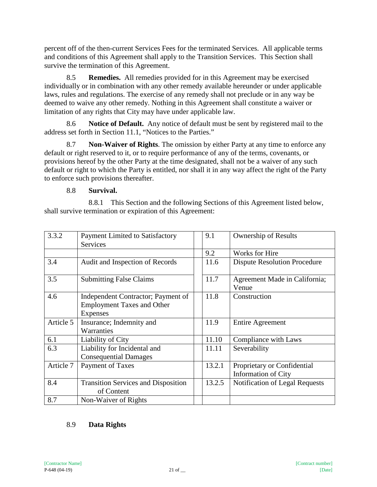percent off of the then-current Services Fees for the terminated Services. All applicable terms and conditions of this Agreement shall apply to the Transition Services. This Section shall survive the termination of this Agreement.

8.5 **Remedies.** All remedies provided for in this Agreement may be exercised individually or in combination with any other remedy available hereunder or under applicable laws, rules and regulations. The exercise of any remedy shall not preclude or in any way be deemed to waive any other remedy. Nothing in this Agreement shall constitute a waiver or limitation of any rights that City may have under applicable law.

8.6 **Notice of Default.** Any notice of default must be sent by registered mail to the address set forth in Section 11.1, "Notices to the Parties."

8.7 **Non-Waiver of Rights**. The omission by either Party at any time to enforce any default or right reserved to it, or to require performance of any of the terms, covenants, or provisions hereof by the other Party at the time designated, shall not be a waiver of any such default or right to which the Party is entitled, nor shall it in any way affect the right of the Party to enforce such provisions thereafter.

## 8.8 **Survival.**

8.8.1 This Section and the following Sections of this Agreement listed below, shall survive termination or expiration of this Agreement:

| 3.3.2     | <b>Payment Limited to Satisfactory</b><br><b>Services</b>                                  | 9.1    | <b>Ownership of Results</b>                               |
|-----------|--------------------------------------------------------------------------------------------|--------|-----------------------------------------------------------|
|           |                                                                                            | 9.2    | <b>Works for Hire</b>                                     |
| 3.4       | Audit and Inspection of Records                                                            | 11.6   | <b>Dispute Resolution Procedure</b>                       |
| 3.5       | <b>Submitting False Claims</b>                                                             | 11.7   | Agreement Made in California;<br>Venue                    |
| 4.6       | Independent Contractor; Payment of<br><b>Employment Taxes and Other</b><br><b>Expenses</b> | 11.8   | Construction                                              |
| Article 5 | Insurance; Indemnity and<br>Warranties                                                     | 11.9   | <b>Entire Agreement</b>                                   |
| 6.1       | Liability of City                                                                          | 11.10  | Compliance with Laws                                      |
| 6.3       | Liability for Incidental and<br><b>Consequential Damages</b>                               | 11.11  | Severability                                              |
| Article 7 | Payment of Taxes                                                                           | 13.2.1 | Proprietary or Confidential<br><b>Information of City</b> |
| 8.4       | <b>Transition Services and Disposition</b><br>of Content                                   | 13.2.5 | Notification of Legal Requests                            |
| 8.7       | Non-Waiver of Rights                                                                       |        |                                                           |

## 8.9 **Data Rights**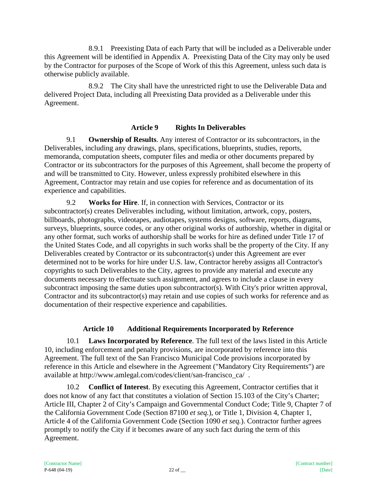8.9.1 Preexisting Data of each Party that will be included as a Deliverable under this Agreement will be identified in Appendix A. Preexisting Data of the City may only be used by the Contractor for purposes of the Scope of Work of this this Agreement, unless such data is otherwise publicly available.

8.9.2 The City shall have the unrestricted right to use the Deliverable Data and delivered Project Data, including all Preexisting Data provided as a Deliverable under this Agreement.

#### **Article 9 Rights In Deliverables**

9.1 **Ownership of Results**. Any interest of Contractor or its subcontractors, in the Deliverables, including any drawings, plans, specifications, blueprints, studies, reports, memoranda, computation sheets, computer files and media or other documents prepared by Contractor or its subcontractors for the purposes of this Agreement, shall become the property of and will be transmitted to City. However, unless expressly prohibited elsewhere in this Agreement, Contractor may retain and use copies for reference and as documentation of its experience and capabilities.

9.2 **Works for Hire**. If, in connection with Services, Contractor or its subcontractor(s) creates Deliverables including, without limitation, artwork, copy, posters, billboards, photographs, videotapes, audiotapes, systems designs, software, reports, diagrams, surveys, blueprints, source codes, or any other original works of authorship, whether in digital or any other format, such works of authorship shall be works for hire as defined under Title 17 of the United States Code, and all copyrights in such works shall be the property of the City. If any Deliverables created by Contractor or its subcontractor(s) under this Agreement are ever determined not to be works for hire under U.S. law, Contractor hereby assigns all Contractor's copyrights to such Deliverables to the City, agrees to provide any material and execute any documents necessary to effectuate such assignment, and agrees to include a clause in every subcontract imposing the same duties upon subcontractor(s). With City's prior written approval, Contractor and its subcontractor(s) may retain and use copies of such works for reference and as documentation of their respective experience and capabilities.

# **Article 10 Additional Requirements Incorporated by Reference**

10.1 **Laws Incorporated by Reference**. The full text of the laws listed in this Article 10, including enforcement and penalty provisions, are incorporated by reference into this Agreement. The full text of the San Francisco Municipal Code provisions incorporated by reference in this Article and elsewhere in the Agreement ("Mandatory City Requirements") are available at http://www.amlegal.com/codes/client/san-francisco\_ca/ .

10.2 **Conflict of Interest**. By executing this Agreement, Contractor certifies that it does not know of any fact that constitutes a violation of Section 15.103 of the City's Charter; Article III, Chapter 2 of City's Campaign and Governmental Conduct Code; Title 9, Chapter 7 of the California Government Code (Section 87100 *et seq.*), or Title 1, Division 4, Chapter 1, Article 4 of the California Government Code (Section 1090 *et seq.*). Contractor further agrees promptly to notify the City if it becomes aware of any such fact during the term of this Agreement.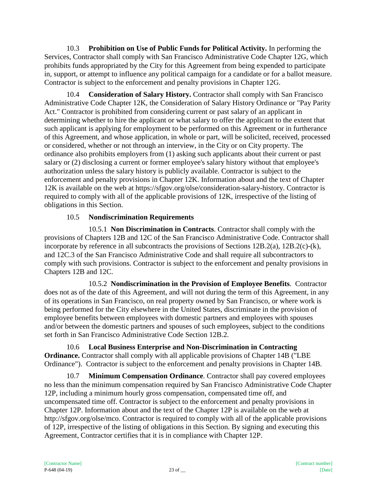10.3 **Prohibition on Use of Public Funds for Political Activity.** In performing the Services, Contractor shall comply with San Francisco Administrative Code Chapter 12G, which prohibits funds appropriated by the City for this Agreement from being expended to participate in, support, or attempt to influence any political campaign for a candidate or for a ballot measure. Contractor is subject to the enforcement and penalty provisions in Chapter 12G.

10.4 **Consideration of Salary History.** Contractor shall comply with San Francisco Administrative Code Chapter 12K, the Consideration of Salary History Ordinance or "Pay Parity Act." Contractor is prohibited from considering current or past salary of an applicant in determining whether to hire the applicant or what salary to offer the applicant to the extent that such applicant is applying for employment to be performed on this Agreement or in furtherance of this Agreement, and whose application, in whole or part, will be solicited, received, processed or considered, whether or not through an interview, in the City or on City property. The ordinance also prohibits employers from (1) asking such applicants about their current or past salary or (2) disclosing a current or former employee's salary history without that employee's authorization unless the salary history is publicly available. Contractor is subject to the enforcement and penalty provisions in Chapter 12K. Information about and the text of Chapter 12K is available on the web at https://sfgov.org/olse/consideration-salary-history. Contractor is required to comply with all of the applicable provisions of 12K, irrespective of the listing of obligations in this Section.

# 10.5 **Nondiscrimination Requirements**

10.5.1 **Non Discrimination in Contracts**. Contractor shall comply with the provisions of Chapters 12B and 12C of the San Francisco Administrative Code. Contractor shall incorporate by reference in all subcontracts the provisions of Sections 12B.2(a), 12B.2(c)-(k), and 12C.3 of the San Francisco Administrative Code and shall require all subcontractors to comply with such provisions. Contractor is subject to the enforcement and penalty provisions in Chapters 12B and 12C.

10.5.2 **Nondiscrimination in the Provision of Employee Benefits**. Contractor does not as of the date of this Agreement, and will not during the term of this Agreement, in any of its operations in San Francisco, on real property owned by San Francisco, or where work is being performed for the City elsewhere in the United States, discriminate in the provision of employee benefits between employees with domestic partners and employees with spouses and/or between the domestic partners and spouses of such employees, subject to the conditions set forth in San Francisco Administrative Code Section 12B.2.

10.6 **Local Business Enterprise and Non-Discrimination in Contracting Ordinance.** Contractor shall comply with all applicable provisions of Chapter 14B ("LBE Ordinance"). Contractor is subject to the enforcement and penalty provisions in Chapter 14B.

10.7 **Minimum Compensation Ordinance**. Contractor shall pay covered employees no less than the minimum compensation required by San Francisco Administrative Code Chapter 12P, including a minimum hourly gross compensation, compensated time off, and uncompensated time off. Contractor is subject to the enforcement and penalty provisions in Chapter 12P. Information about and the text of the Chapter 12P is available on the web at http://sfgov.org/olse/mco. Contractor is required to comply with all of the applicable provisions of 12P, irrespective of the listing of obligations in this Section. By signing and executing this Agreement, Contractor certifies that it is in compliance with Chapter 12P.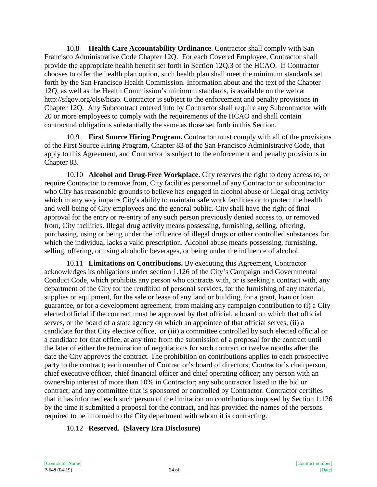10.8 **Health Care Accountability Ordinance**. Contractor shall comply with San Francisco Administrative Code Chapter 12Q. For each Covered Employee, Contractor shall provide the appropriate health benefit set forth in Section 12Q.3 of the HCAO. If Contractor chooses to offer the health plan option, such health plan shall meet the minimum standards set forth by the San Francisco Health Commission. Information about and the text of the Chapter 12Q, as well as the Health Commission's minimum standards, is available on the web at http://sfgov.org/olse/hcao. Contractor is subject to the enforcement and penalty provisions in Chapter 12Q. Any Subcontract entered into by Contractor shall require any Subcontractor with 20 or more employees to comply with the requirements of the HCAO and shall contain contractual obligations substantially the same as those set forth in this Section.

10.9 **First Source Hiring Program.** Contractor must comply with all of the provisions of the First Source Hiring Program, Chapter 83 of the San Francisco Administrative Code, that apply to this Agreement, and Contractor is subject to the enforcement and penalty provisions in Chapter 83.

10.10 **Alcohol and Drug-Free Workplace.** City reserves the right to deny access to, or require Contractor to remove from, City facilities personnel of any Contractor or subcontractor who City has reasonable grounds to believe has engaged in alcohol abuse or illegal drug activity which in any way impairs City's ability to maintain safe work facilities or to protect the health and well-being of City employees and the general public. City shall have the right of final approval for the entry or re-entry of any such person previously denied access to, or removed from, City facilities. Illegal drug activity means possessing, furnishing, selling, offering, purchasing, using or being under the influence of illegal drugs or other controlled substances for which the individual lacks a valid prescription. Alcohol abuse means possessing, furnishing, selling, offering, or using alcoholic beverages, or being under the influence of alcohol.

10.11 **Limitations on Contributions.** By executing this Agreement, Contractor acknowledges its obligations under section 1.126 of the City's Campaign and Governmental Conduct Code, which prohibits any person who contracts with, or is seeking a contract with, any department of the City for the rendition of personal services, for the furnishing of any material, supplies or equipment, for the sale or lease of any land or building, for a grant, loan or loan guarantee, or for a development agreement, from making any campaign contribution to (i) a City elected official if the contract must be approved by that official, a board on which that official serves, or the board of a state agency on which an appointee of that official serves, (ii) a candidate for that City elective office, or (iii) a committee controlled by such elected official or a candidate for that office, at any time from the submission of a proposal for the contract until the later of either the termination of negotiations for such contract or twelve months after the date the City approves the contract. The prohibition on contributions applies to each prospective party to the contract; each member of Contractor's board of directors; Contractor's chairperson, chief executive officer, chief financial officer and chief operating officer; any person with an ownership interest of more than 10% in Contractor; any subcontractor listed in the bid or contract; and any committee that is sponsored or controlled by Contractor. Contractor certifies that it has informed each such person of the limitation on contributions imposed by Section 1.126 by the time it submitted a proposal for the contract, and has provided the names of the persons required to be informed to the City department with whom it is contracting.

## 10.12 **Reserved. (Slavery Era Disclosure)**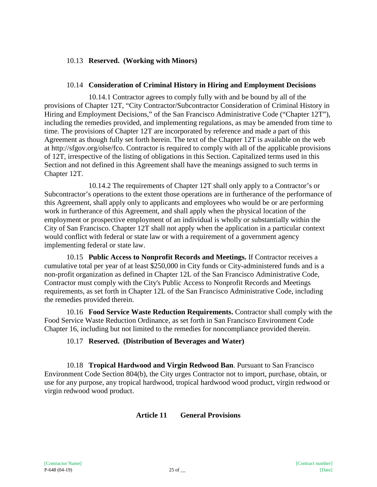#### 10.13 **Reserved. (Working with Minors)**

#### 10.14 **Consideration of Criminal History in Hiring and Employment Decisions**

10.14.1 Contractor agrees to comply fully with and be bound by all of the provisions of Chapter 12T, "City Contractor/Subcontractor Consideration of Criminal History in Hiring and Employment Decisions," of the San Francisco Administrative Code ("Chapter 12T"), including the remedies provided, and implementing regulations, as may be amended from time to time. The provisions of Chapter 12T are incorporated by reference and made a part of this Agreement as though fully set forth herein. The text of the Chapter 12T is available on the web at http://sfgov.org/olse/fco. Contractor is required to comply with all of the applicable provisions of 12T, irrespective of the listing of obligations in this Section. Capitalized terms used in this Section and not defined in this Agreement shall have the meanings assigned to such terms in Chapter 12T.

10.14.2 The requirements of Chapter 12T shall only apply to a Contractor's or Subcontractor's operations to the extent those operations are in furtherance of the performance of this Agreement, shall apply only to applicants and employees who would be or are performing work in furtherance of this Agreement, and shall apply when the physical location of the employment or prospective employment of an individual is wholly or substantially within the City of San Francisco. Chapter 12T shall not apply when the application in a particular context would conflict with federal or state law or with a requirement of a government agency implementing federal or state law.

10.15 **Public Access to Nonprofit Records and Meetings.** If Contractor receives a cumulative total per year of at least \$250,000 in City funds or City-administered funds and is a non-profit organization as defined in Chapter 12L of the San Francisco Administrative Code, Contractor must comply with the City's Public Access to Nonprofit Records and Meetings requirements, as set forth in Chapter 12L of the San Francisco Administrative Code, including the remedies provided therein.

10.16 **Food Service Waste Reduction Requirements.** Contractor shall comply with the Food Service Waste Reduction Ordinance, as set forth in San Francisco Environment Code Chapter 16, including but not limited to the remedies for noncompliance provided therein.

#### 10.17 **Reserved. (Distribution of Beverages and Water)**

10.18 **Tropical Hardwood and Virgin Redwood Ban**. Pursuant to San Francisco Environment Code Section 804(b), the City urges Contractor not to import, purchase, obtain, or use for any purpose, any tropical hardwood, tropical hardwood wood product, virgin redwood or virgin redwood wood product.

#### **Article 11 General Provisions**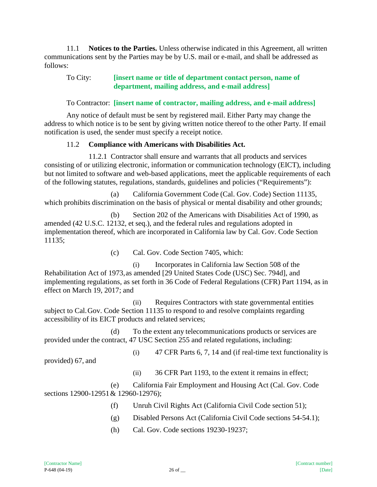11.1 **Notices to the Parties.** Unless otherwise indicated in this Agreement, all written communications sent by the Parties may be by U.S. mail or e-mail, and shall be addressed as follows:

#### To City: **[insert name or title of department contact person, name of department, mailing address, and e-mail address]**

To Contractor: **[insert name of contractor, mailing address, and e-mail address]**

Any notice of default must be sent by registered mail. Either Party may change the address to which notice is to be sent by giving written notice thereof to the other Party. If email notification is used, the sender must specify a receipt notice.

## 11.2 **Compliance with Americans with Disabilities Act.**

11.2.1 Contractor shall ensure and warrants that all products and services consisting of or utilizing electronic, information or communication technology (EICT), including but not limited to software and web-based applications, meet the applicable requirements of each of the following statutes, regulations, standards, guidelines and policies ("Requirements"):

(a) California Government Code (Cal. Gov. Code) Section 11135, which prohibits discrimination on the basis of physical or mental disability and other grounds;

(b) Section 202 of the Americans with Disabilities Act of 1990, as amended (42 U.S.C. 12132, et seq.), and the federal rules and regulations adopted in implementation thereof, which are incorporated in California law by Cal. Gov. Code Section 11135;

(c) Cal. Gov. Code Section 7405, which:

(i) Incorporates in California law Section 508 of the Rehabilitation Act of 1973,as amended [29 United States Code (USC) Sec. 794d], and implementing regulations, as set forth in 36 Code of Federal Regulations (CFR) Part 1194, as in effect on March 19, 2017; and

(ii) Requires Contractors with state governmental entities subject to Cal.Gov. Code Section 11135 to respond to and resolve complaints regarding accessibility of its EICT products and related services;

(d) To the extent any telecommunications products or services are provided under the contract, 47 USC Section 255 and related regulations, including:

provided) 67, and

(i) 47 CFR Parts 6, 7, 14 and (if real-time text functionality is

(ii) 36 CFR Part 1193, to the extent it remains in effect;

(e) California Fair Employment and Housing Act (Cal. Gov. Code sections 12900-12951 & 12960-12976);

- (f) Unruh Civil Rights Act (California Civil Code section 51);
- (g) Disabled Persons Act (California Civil Code sections 54-54.1);
- (h) Cal. Gov. Code sections 19230-19237;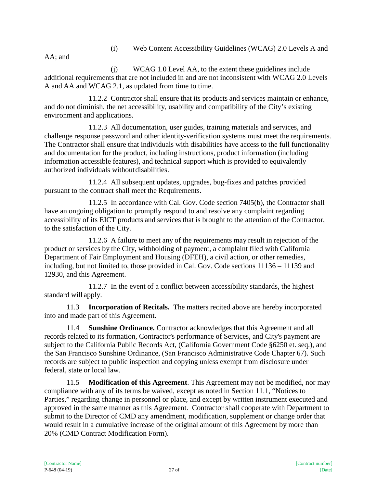(i) Web Content Accessibility Guidelines (WCAG) 2.0 Levels A and

AA; and

(j) WCAG 1.0 Level AA, to the extent these guidelines include additional requirements that are not included in and are not inconsistent with WCAG 2.0 Levels A and AA and WCAG 2.1, as updated from time to time.

11.2.2 Contractor shall ensure that its products and services maintain or enhance, and do not diminish, the net accessibility, usability and compatibility of the City's existing environment and applications.

11.2.3 All documentation, user guides, training materials and services, and challenge response password and other identity-verification systems must meet the requirements. The Contractor shall ensure that individuals with disabilities have access to the full functionality and documentation for the product, including instructions, product information (including information accessible features), and technical support which is provided to equivalently authorized individuals withoutdisabilities.

11.2.4 All subsequent updates, upgrades, bug-fixes and patches provided pursuant to the contract shall meet the Requirements.

11.2.5 In accordance with Cal. Gov. Code section 7405(b), the Contractor shall have an ongoing obligation to promptly respond to and resolve any complaint regarding accessibility of its EICT products and services that is brought to the attention of the Contractor, to the satisfaction of the City.

11.2.6 A failure to meet any of the requirements may result in rejection of the product or services by the City, withholding of payment, a complaint filed with California Department of Fair Employment and Housing (DFEH), a civil action, or other remedies, including, but not limited to, those provided in Cal. Gov. Code sections 11136 – 11139 and 12930, and this Agreement.

11.2.7 In the event of a conflict between accessibility standards, the highest standard will apply.

11.3 **Incorporation of Recitals.** The matters recited above are hereby incorporated into and made part of this Agreement.

11.4 **Sunshine Ordinance.** Contractor acknowledges that this Agreement and all records related to its formation, Contractor's performance of Services, and City's payment are subject to the California Public Records Act, (California Government Code §6250 et. seq.), and the San Francisco Sunshine Ordinance, (San Francisco Administrative Code Chapter 67). Such records are subject to public inspection and copying unless exempt from disclosure under federal, state or local law.

11.5 **Modification of this Agreement**. This Agreement may not be modified, nor may compliance with any of its terms be waived, except as noted in Section 11.1, "Notices to Parties," regarding change in personnel or place, and except by written instrument executed and approved in the same manner as this Agreement. Contractor shall cooperate with Department to submit to the Director of CMD any amendment, modification, supplement or change order that would result in a cumulative increase of the original amount of this Agreement by more than 20% (CMD Contract Modification Form).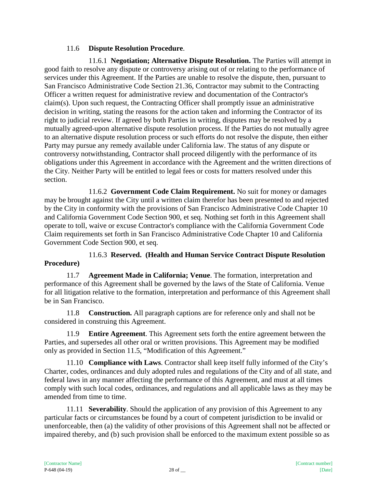## 11.6 **Dispute Resolution Procedure**.

11.6.1 **Negotiation; Alternative Dispute Resolution.** The Parties will attempt in good faith to resolve any dispute or controversy arising out of or relating to the performance of services under this Agreement. If the Parties are unable to resolve the dispute, then, pursuant to San Francisco Administrative Code Section 21.36, Contractor may submit to the Contracting Officer a written request for administrative review and documentation of the Contractor's claim(s). Upon such request, the Contracting Officer shall promptly issue an administrative decision in writing, stating the reasons for the action taken and informing the Contractor of its right to judicial review. If agreed by both Parties in writing, disputes may be resolved by a mutually agreed-upon alternative dispute resolution process. If the Parties do not mutually agree to an alternative dispute resolution process or such efforts do not resolve the dispute, then either Party may pursue any remedy available under California law. The status of any dispute or controversy notwithstanding, Contractor shall proceed diligently with the performance of its obligations under this Agreement in accordance with the Agreement and the written directions of the City. Neither Party will be entitled to legal fees or costs for matters resolved under this section.

11.6.2 **Government Code Claim Requirement.** No suit for money or damages may be brought against the City until a written claim therefor has been presented to and rejected by the City in conformity with the provisions of San Francisco Administrative Code Chapter 10 and California Government Code Section 900, et seq. Nothing set forth in this Agreement shall operate to toll, waive or excuse Contractor's compliance with the California Government Code Claim requirements set forth in San Francisco Administrative Code Chapter 10 and California Government Code Section 900, et seq.

11.6.3 **Reserved. (Health and Human Service Contract Dispute Resolution Procedure)**

11.7 **Agreement Made in California; Venue**. The formation, interpretation and performance of this Agreement shall be governed by the laws of the State of California. Venue for all litigation relative to the formation, interpretation and performance of this Agreement shall be in San Francisco.

11.8 **Construction.** All paragraph captions are for reference only and shall not be considered in construing this Agreement.

11.9 **Entire Agreement**. This Agreement sets forth the entire agreement between the Parties, and supersedes all other oral or written provisions. This Agreement may be modified only as provided in Section 11.5, "Modification of this Agreement."

11.10 **Compliance with Laws**. Contractor shall keep itself fully informed of the City's Charter, codes, ordinances and duly adopted rules and regulations of the City and of all state, and federal laws in any manner affecting the performance of this Agreement, and must at all times comply with such local codes, ordinances, and regulations and all applicable laws as they may be amended from time to time.

11.11 **Severability**. Should the application of any provision of this Agreement to any particular facts or circumstances be found by a court of competent jurisdiction to be invalid or unenforceable, then (a) the validity of other provisions of this Agreement shall not be affected or impaired thereby, and (b) such provision shall be enforced to the maximum extent possible so as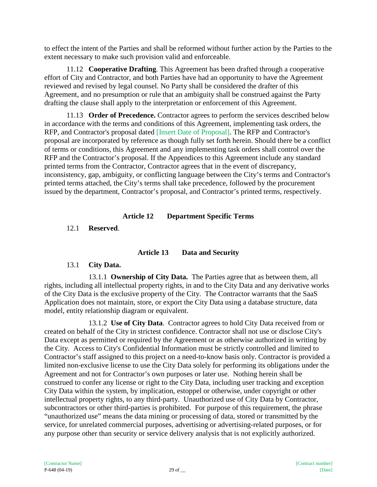to effect the intent of the Parties and shall be reformed without further action by the Parties to the extent necessary to make such provision valid and enforceable.

11.12 **Cooperative Drafting**. This Agreement has been drafted through a cooperative effort of City and Contractor, and both Parties have had an opportunity to have the Agreement reviewed and revised by legal counsel. No Party shall be considered the drafter of this Agreement, and no presumption or rule that an ambiguity shall be construed against the Party drafting the clause shall apply to the interpretation or enforcement of this Agreement.

11.13 **Order of Precedence.** Contractor agrees to perform the services described below in accordance with the terms and conditions of this Agreement, implementing task orders, the RFP, and Contractor's proposal dated [Insert Date of Proposal]. The RFP and Contractor's proposal are incorporated by reference as though fully set forth herein. Should there be a conflict of terms or conditions, this Agreement and any implementing task orders shall control over the RFP and the Contractor's proposal. If the Appendices to this Agreement include any standard printed terms from the Contractor, Contractor agrees that in the event of discrepancy, inconsistency, gap, ambiguity, or conflicting language between the City's terms and Contractor's printed terms attached, the City's terms shall take precedence, followed by the procurement issued by the department, Contractor's proposal, and Contractor's printed terms, respectively.

## **Article 12 Department Specific Terms**

12.1 **Reserved**.

## **Article 13 Data and Security**

## 13.1 **City Data.**

13.1.1 **Ownership of City Data.** The Parties agree that as between them, all rights, including all intellectual property rights, in and to the City Data and any derivative works of the City Data is the exclusive property of the City. The Contractor warrants that the SaaS Application does not maintain, store, or export the City Data using a database structure, data model, entity relationship diagram or equivalent.

13.1.2 **Use of City Data**. Contractor agrees to hold City Data received from or created on behalf of the City in strictest confidence. Contractor shall not use or disclose City's Data except as permitted or required by the Agreement or as otherwise authorized in writing by the City. Access to City's Confidential Information must be strictly controlled and limited to Contractor's staff assigned to this project on a need-to-know basis only. Contractor is provided a limited non-exclusive license to use the City Data solely for performing its obligations under the Agreement and not for Contractor's own purposes or later use. Nothing herein shall be construed to confer any license or right to the City Data, including user tracking and exception City Data within the system, by implication, estoppel or otherwise, under copyright or other intellectual property rights, to any third-party. Unauthorized use of City Data by Contractor, subcontractors or other third-parties is prohibited. For purpose of this requirement, the phrase "unauthorized use" means the data mining or processing of data, stored or transmitted by the service, for unrelated commercial purposes, advertising or advertising-related purposes, or for any purpose other than security or service delivery analysis that is not explicitly authorized.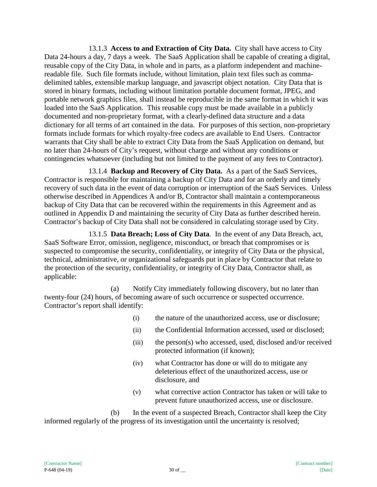13.1.3 **Access to and Extraction of City Data.** City shall have access to City Data 24-hours a day, 7 days a week. The SaaS Application shall be capable of creating a digital, reusable copy of the City Data, in whole and in parts, as a platform independent and machinereadable file. Such file formats include, without limitation, plain text files such as commadelimited tables, extensible markup language, and javascript object notation. City Data that is stored in binary formats, including without limitation portable document format, JPEG, and portable network graphics files, shall instead be reproducible in the same format in which it was loaded into the SaaS Application. This reusable copy must be made available in a publicly documented and non-proprietary format, with a clearly-defined data structure and a data dictionary for all terms of art contained in the data. For purposes of this section, non-proprietary formats include formats for which royalty-free codecs are available to End Users. Contractor warrants that City shall be able to extract City Data from the SaaS Application on demand, but no later than 24-hours of City's request, without charge and without any conditions or contingencies whatsoever (including but not limited to the payment of any fees to Contractor).

13.1.4 **Backup and Recovery of City Data.** As a part of the SaaS Services, Contractor is responsible for maintaining a backup of City Data and for an orderly and timely recovery of such data in the event of data corruption or interruption of the SaaS Services. Unless otherwise described in Appendices A and/or B, Contractor shall maintain a contemporaneous backup of City Data that can be recovered within the requirements in this Agreement and as outlined in Appendix D and maintaining the security of City Data as further described herein. Contractor's backup of City Data shall not be considered in calculating storage used by City.

13.1.5 **Data Breach; Loss of City Data**. In the event of any Data Breach, act, SaaS Software Error, omission, negligence, misconduct, or breach that compromises or is suspected to compromise the security, confidentiality, or integrity of City Data or the physical, technical, administrative, or organizational safeguards put in place by Contractor that relate to the protection of the security, confidentiality, or integrity of City Data, Contractor shall, as applicable:

(a) Notify City immediately following discovery, but no later than twenty-four (24) hours, of becoming aware of such occurrence or suspected occurrence. Contractor's report shall identify:

- (i) the nature of the unauthorized access, use or disclosure;
- (ii) the Confidential Information accessed, used or disclosed;
- (iii) the person(s) who accessed, used, disclosed and/or received protected information (if known);
- (iv) what Contractor has done or will do to mitigate any deleterious effect of the unauthorized access, use or disclosure, and
- (v) what corrective action Contractor has taken or will take to prevent future unauthorized access, use or disclosure.

(b) In the event of a suspected Breach, Contractor shall keep the City informed regularly of the progress of its investigation until the uncertainty is resolved;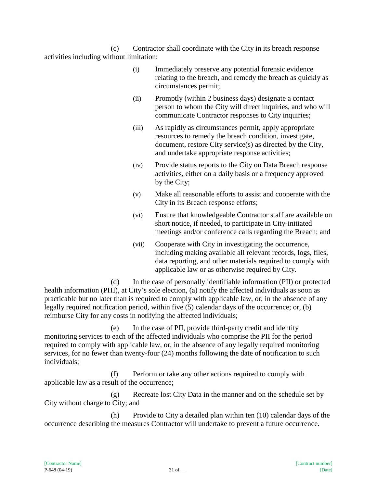(c) Contractor shall coordinate with the City in its breach response activities including without limitation:

- (i) Immediately preserve any potential forensic evidence relating to the breach, and remedy the breach as quickly as circumstances permit;
- (ii) Promptly (within 2 business days) designate a contact person to whom the City will direct inquiries, and who will communicate Contractor responses to City inquiries;
- (iii) As rapidly as circumstances permit, apply appropriate resources to remedy the breach condition, investigate, document, restore City service(s) as directed by the City, and undertake appropriate response activities;
- (iv) Provide status reports to the City on Data Breach response activities, either on a daily basis or a frequency approved by the City;
- (v) Make all reasonable efforts to assist and cooperate with the City in its Breach response efforts;
- (vi) Ensure that knowledgeable Contractor staff are available on short notice, if needed, to participate in City-initiated meetings and/or conference calls regarding the Breach; and
- (vii) Cooperate with City in investigating the occurrence, including making available all relevant records, logs, files, data reporting, and other materials required to comply with applicable law or as otherwise required by City.

(d) In the case of personally identifiable information (PII) or protected health information (PHI), at City's sole election, (a) notify the affected individuals as soon as practicable but no later than is required to comply with applicable law, or, in the absence of any legally required notification period, within five (5) calendar days of the occurrence; or, (b) reimburse City for any costs in notifying the affected individuals;

(e) In the case of PII, provide third-party credit and identity monitoring services to each of the affected individuals who comprise the PII for the period required to comply with applicable law, or, in the absence of any legally required monitoring services, for no fewer than twenty-four (24) months following the date of notification to such individuals;

(f) Perform or take any other actions required to comply with applicable law as a result of the occurrence;

(g) Recreate lost City Data in the manner and on the schedule set by City without charge to City; and

(h) Provide to City a detailed plan within ten (10) calendar days of the occurrence describing the measures Contractor will undertake to prevent a future occurrence.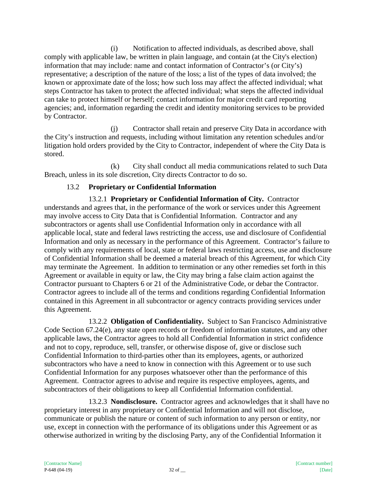(i) Notification to affected individuals, as described above, shall comply with applicable law, be written in plain language, and contain (at the City's election) information that may include: name and contact information of Contractor's (or City's) representative; a description of the nature of the loss; a list of the types of data involved; the known or approximate date of the loss; how such loss may affect the affected individual; what steps Contractor has taken to protect the affected individual; what steps the affected individual can take to protect himself or herself; contact information for major credit card reporting agencies; and, information regarding the credit and identity monitoring services to be provided by Contractor.

(j) Contractor shall retain and preserve City Data in accordance with the City's instruction and requests, including without limitation any retention schedules and/or litigation hold orders provided by the City to Contractor, independent of where the City Data is stored.

(k) City shall conduct all media communications related to such Data Breach, unless in its sole discretion, City directs Contractor to do so.

# 13.2 **Proprietary or Confidential Information**

13.2.1 **Proprietary or Confidential Information of City.** Contractor understands and agrees that, in the performance of the work or services under this Agreement may involve access to City Data that is Confidential Information. Contractor and any subcontractors or agents shall use Confidential Information only in accordance with all applicable local, state and federal laws restricting the access, use and disclosure of Confidential Information and only as necessary in the performance of this Agreement. Contractor's failure to comply with any requirements of local, state or federal laws restricting access, use and disclosure of Confidential Information shall be deemed a material breach of this Agreement, for which City may terminate the Agreement. In addition to termination or any other remedies set forth in this Agreement or available in equity or law, the City may bring a false claim action against the Contractor pursuant to Chapters 6 or 21 of the Administrative Code, or debar the Contractor. Contractor agrees to include all of the terms and conditions regarding Confidential Information contained in this Agreement in all subcontractor or agency contracts providing services under this Agreement.

13.2.2 **Obligation of Confidentiality.** Subject to San Francisco Administrative Code Section 67.24(e), any state open records or freedom of information statutes, and any other applicable laws, the Contractor agrees to hold all Confidential Information in strict confidence and not to copy, reproduce, sell, transfer, or otherwise dispose of, give or disclose such Confidential Information to third-parties other than its employees, agents, or authorized subcontractors who have a need to know in connection with this Agreement or to use such Confidential Information for any purposes whatsoever other than the performance of this Agreement. Contractor agrees to advise and require its respective employees, agents, and subcontractors of their obligations to keep all Confidential Information confidential.

13.2.3 **Nondisclosure.** Contractor agrees and acknowledges that it shall have no proprietary interest in any proprietary or Confidential Information and will not disclose, communicate or publish the nature or content of such information to any person or entity, nor use, except in connection with the performance of its obligations under this Agreement or as otherwise authorized in writing by the disclosing Party, any of the Confidential Information it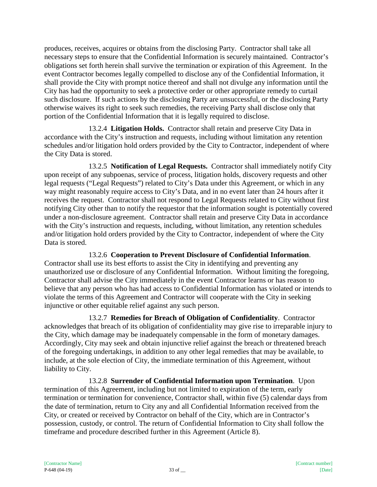produces, receives, acquires or obtains from the disclosing Party. Contractor shall take all necessary steps to ensure that the Confidential Information is securely maintained. Contractor's obligations set forth herein shall survive the termination or expiration of this Agreement. In the event Contractor becomes legally compelled to disclose any of the Confidential Information, it shall provide the City with prompt notice thereof and shall not divulge any information until the City has had the opportunity to seek a protective order or other appropriate remedy to curtail such disclosure. If such actions by the disclosing Party are unsuccessful, or the disclosing Party otherwise waives its right to seek such remedies, the receiving Party shall disclose only that portion of the Confidential Information that it is legally required to disclose.

13.2.4 **Litigation Holds.** Contractor shall retain and preserve City Data in accordance with the City's instruction and requests, including without limitation any retention schedules and/or litigation hold orders provided by the City to Contractor, independent of where the City Data is stored.

13.2.5 **Notification of Legal Requests.** Contractor shall immediately notify City upon receipt of any subpoenas, service of process, litigation holds, discovery requests and other legal requests ("Legal Requests") related to City's Data under this Agreement, or which in any way might reasonably require access to City's Data, and in no event later than 24 hours after it receives the request. Contractor shall not respond to Legal Requests related to City without first notifying City other than to notify the requestor that the information sought is potentially covered under a non-disclosure agreement. Contractor shall retain and preserve City Data in accordance with the City's instruction and requests, including, without limitation, any retention schedules and/or litigation hold orders provided by the City to Contractor, independent of where the City Data is stored.

13.2.6 **Cooperation to Prevent Disclosure of Confidential Information**. Contractor shall use its best efforts to assist the City in identifying and preventing any unauthorized use or disclosure of any Confidential Information. Without limiting the foregoing, Contractor shall advise the City immediately in the event Contractor learns or has reason to believe that any person who has had access to Confidential Information has violated or intends to violate the terms of this Agreement and Contractor will cooperate with the City in seeking injunctive or other equitable relief against any such person.

13.2.7 **Remedies for Breach of Obligation of Confidentiality**. Contractor acknowledges that breach of its obligation of confidentiality may give rise to irreparable injury to the City, which damage may be inadequately compensable in the form of monetary damages. Accordingly, City may seek and obtain injunctive relief against the breach or threatened breach of the foregoing undertakings, in addition to any other legal remedies that may be available, to include, at the sole election of City, the immediate termination of this Agreement, without liability to City.

13.2.8 **Surrender of Confidential Information upon Termination**. Upon termination of this Agreement, including but not limited to expiration of the term, early termination or termination for convenience, Contractor shall, within five (5) calendar days from the date of termination, return to City any and all Confidential Information received from the City, or created or received by Contractor on behalf of the City, which are in Contractor's possession, custody, or control. The return of Confidential Information to City shall follow the timeframe and procedure described further in this Agreement (Article 8).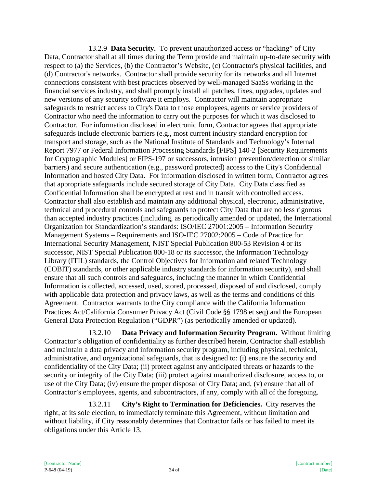13.2.9 **Data Security.** To prevent unauthorized access or "hacking" of City Data, Contractor shall at all times during the Term provide and maintain up-to-date security with respect to (a) the Services, (b) the Contractor's Website, (c) Contractor's physical facilities, and (d) Contractor's networks. Contractor shall provide security for its networks and all Internet connections consistent with best practices observed by well-managed SaaSs working in the financial services industry, and shall promptly install all patches, fixes, upgrades, updates and new versions of any security software it employs. Contractor will maintain appropriate safeguards to restrict access to City's Data to those employees, agents or service providers of Contractor who need the information to carry out the purposes for which it was disclosed to Contractor. For information disclosed in electronic form, Contractor agrees that appropriate safeguards include electronic barriers (e.g., most current industry standard encryption for transport and storage, such as the National Institute of Standards and Technology's Internal Report 7977 or Federal Information Processing Standards [FIPS] 140-2 [Security Requirements for Cryptographic Modules] or FIPS-197 or successors, intrusion prevention/detection or similar barriers) and secure authentication (e.g., password protected) access to the City's Confidential Information and hosted City Data. For information disclosed in written form, Contractor agrees that appropriate safeguards include secured storage of City Data. City Data classified as Confidential Information shall be encrypted at rest and in transit with controlled access. Contractor shall also establish and maintain any additional physical, electronic, administrative, technical and procedural controls and safeguards to protect City Data that are no less rigorous than accepted industry practices (including, as periodically amended or updated, the International Organization for Standardization's standards: ISO/IEC 27001:2005 – Information Security Management Systems – Requirements and ISO-IEC 27002:2005 – Code of Practice for International Security Management, NIST Special Publication 800-53 Revision 4 or its successor, NIST Special Publication 800-18 or its successor, the Information Technology Library (ITIL) standards, the Control Objectives for Information and related Technology (COBIT) standards, or other applicable industry standards for information security), and shall ensure that all such controls and safeguards, including the manner in which Confidential Information is collected, accessed, used, stored, processed, disposed of and disclosed, comply with applicable data protection and privacy laws, as well as the terms and conditions of this Agreement. Contractor warrants to the City compliance with the California Information Practices Act/California Consumer Privacy Act (Civil Code §§ 1798 et seq) and the European General Data Protection Regulation ("GDPR") (as periodically amended or updated).

13.2.10 **Data Privacy and Information Security Program.** Without limiting Contractor's obligation of confidentiality as further described herein, Contractor shall establish and maintain a data privacy and information security program, including physical, technical, administrative, and organizational safeguards, that is designed to: (i) ensure the security and confidentiality of the City Data; (ii) protect against any anticipated threats or hazards to the security or integrity of the City Data; (iii) protect against unauthorized disclosure, access to, or use of the City Data; (iv) ensure the proper disposal of City Data; and, (v) ensure that all of Contractor's employees, agents, and subcontractors, if any, comply with all of the foregoing.

13.2.11 **City's Right to Termination for Deficiencies.** City reserves the right, at its sole election, to immediately terminate this Agreement, without limitation and without liability, if City reasonably determines that Contractor fails or has failed to meet its obligations under this Article 13.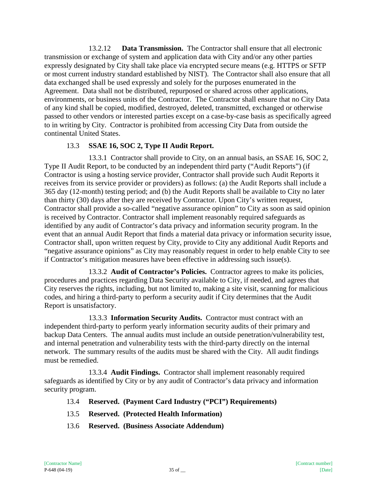13.2.12 **Data Transmission.** The Contractor shall ensure that all electronic transmission or exchange of system and application data with City and/or any other parties expressly designated by City shall take place via encrypted secure means (e.g. HTTPS or SFTP or most current industry standard established by NIST). The Contractor shall also ensure that all data exchanged shall be used expressly and solely for the purposes enumerated in the Agreement. Data shall not be distributed, repurposed or shared across other applications, environments, or business units of the Contractor. The Contractor shall ensure that no City Data of any kind shall be copied, modified, destroyed, deleted, transmitted, exchanged or otherwise passed to other vendors or interested parties except on a case-by-case basis as specifically agreed to in writing by City. Contractor is prohibited from accessing City Data from outside the continental United States.

#### 13.3 **SSAE 16, SOC 2, Type II Audit Report.**

13.3.1 Contractor shall provide to City, on an annual basis, an SSAE 16, SOC 2, Type II Audit Report, to be conducted by an independent third party ("Audit Reports") (if Contractor is using a hosting service provider, Contractor shall provide such Audit Reports it receives from its service provider or providers) as follows: (a) the Audit Reports shall include a 365 day (12-month) testing period; and (b) the Audit Reports shall be available to City no later than thirty (30) days after they are received by Contractor. Upon City's written request, Contractor shall provide a so-called "negative assurance opinion" to City as soon as said opinion is received by Contractor. Contractor shall implement reasonably required safeguards as identified by any audit of Contractor's data privacy and information security program. In the event that an annual Audit Report that finds a material data privacy or information security issue, Contractor shall, upon written request by City, provide to City any additional Audit Reports and "negative assurance opinions" as City may reasonably request in order to help enable City to see if Contractor's mitigation measures have been effective in addressing such issue(s).

13.3.2 **Audit of Contractor's Policies.** Contractor agrees to make its policies, procedures and practices regarding Data Security available to City, if needed, and agrees that City reserves the rights, including, but not limited to, making a site visit, scanning for malicious codes, and hiring a third-party to perform a security audit if City determines that the Audit Report is unsatisfactory.

13.3.3 **Information Security Audits.** Contractor must contract with an independent third-party to perform yearly information security audits of their primary and backup Data Centers. The annual audits must include an outside penetration/vulnerability test, and internal penetration and vulnerability tests with the third-party directly on the internal network. The summary results of the audits must be shared with the City. All audit findings must be remedied.

13.3.4 **Audit Findings.** Contractor shall implement reasonably required safeguards as identified by City or by any audit of Contractor's data privacy and information security program.

- 13.4 **Reserved. (Payment Card Industry ("PCI") Requirements)**
- 13.5 **Reserved. (Protected Health Information)**
- 13.6 **Reserved. (Business Associate Addendum)**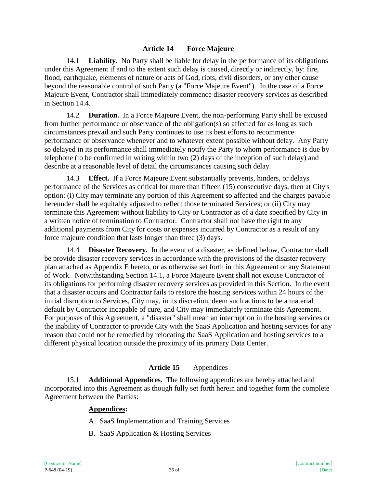#### **Article 14 Force Majeure**

14.1 **Liability.** No Party shall be liable for delay in the performance of its obligations under this Agreement if and to the extent such delay is caused, directly or indirectly, by: fire, flood, earthquake, elements of nature or acts of God, riots, civil disorders, or any other cause beyond the reasonable control of such Party (a "Force Majeure Event"). In the case of a Force Majeure Event, Contractor shall immediately commence disaster recovery services as described in Section 14.4.

14.2 **Duration.** In a Force Majeure Event, the non-performing Party shall be excused from further performance or observance of the obligation(s) so affected for as long as such circumstances prevail and such Party continues to use its best efforts to recommence performance or observance whenever and to whatever extent possible without delay. Any Party so delayed in its performance shall immediately notify the Party to whom performance is due by telephone (to be confirmed in writing within two (2) days of the inception of such delay) and describe at a reasonable level of detail the circumstances causing such delay.

14.3 **Effect.** If a Force Majeure Event substantially prevents, hinders, or delays performance of the Services as critical for more than fifteen (15) consecutive days, then at City's option: (i) City may terminate any portion of this Agreement so affected and the charges payable hereunder shall be equitably adjusted to reflect those terminated Services; or (ii) City may terminate this Agreement without liability to City or Contractor as of a date specified by City in a written notice of termination to Contractor. Contractor shall not have the right to any additional payments from City for costs or expenses incurred by Contractor as a result of any force majeure condition that lasts longer than three (3) days.

14.4 **Disaster Recovery.** In the event of a disaster, as defined below, Contractor shall be provide disaster recovery services in accordance with the provisions of the disaster recovery plan attached as Appendix E hereto, or as otherwise set forth in this Agreement or any Statement of Work. Notwithstanding Section 14.1, a Force Majeure Event shall not excuse Contractor of its obligations for performing disaster recovery services as provided in this Section. In the event that a disaster occurs and Contractor fails to restore the hosting services within 24 hours of the initial disruption to Services, City may, in its discretion, deem such actions to be a material default by Contractor incapable of cure, and City may immediately terminate this Agreement. For purposes of this Agreement, a "disaster" shall mean an interruption in the hosting services or the inability of Contractor to provide City with the SaaS Application and hosting services for any reason that could not be remedied by relocating the SaaS Application and hosting services to a different physical location outside the proximity of its primary Data Center.

## **Article 15** Appendices

15.1 **Additional Appendices.** The following appendices are hereby attached and incorporated into this Agreement as though fully set forth herein and together form the complete Agreement between the Parties:

#### **Appendices:**

- A. SaaS Implementation and Training Services
- B. SaaS Application & Hosting Services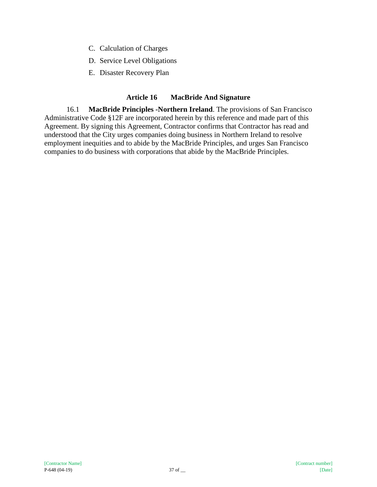- C. Calculation of Charges
- D. Service Level Obligations
- E. Disaster Recovery Plan

## **Article 16 MacBride And Signature**

16.1 **MacBride Principles -Northern Ireland**. The provisions of San Francisco Administrative Code §12F are incorporated herein by this reference and made part of this Agreement. By signing this Agreement, Contractor confirms that Contractor has read and understood that the City urges companies doing business in Northern Ireland to resolve employment inequities and to abide by the MacBride Principles, and urges San Francisco companies to do business with corporations that abide by the MacBride Principles.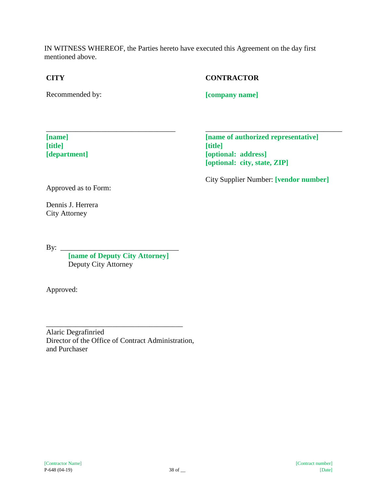IN WITNESS WHEREOF, the Parties hereto have executed this Agreement on the day first mentioned above.

## **CITY**

# Recommended by:

# **CONTRACTOR**

**[company name]**

**[name] [title] [department]**

**[name of authorized representative] [title] [optional: address] [optional: city, state, ZIP]**

\_\_\_\_\_\_\_\_\_\_\_\_\_\_\_\_\_\_\_\_\_\_\_\_\_\_\_\_\_\_\_\_\_\_\_\_\_

City Supplier Number: **[vendor number]**

Approved as to Form:

Dennis J. Herrera City Attorney

By: \_\_\_\_\_\_\_\_\_\_\_\_\_\_\_\_\_\_\_\_\_\_\_\_\_\_\_\_\_\_\_\_

**[name of Deputy City Attorney]** Deputy City Attorney

\_\_\_\_\_\_\_\_\_\_\_\_\_\_\_\_\_\_\_\_\_\_\_\_\_\_\_\_\_\_\_\_\_\_\_

Approved:

Alaric Degrafinried Director of the Office of Contract Administration, and Purchaser

\_\_\_\_\_\_\_\_\_\_\_\_\_\_\_\_\_\_\_\_\_\_\_\_\_\_\_\_\_\_\_\_\_\_\_\_\_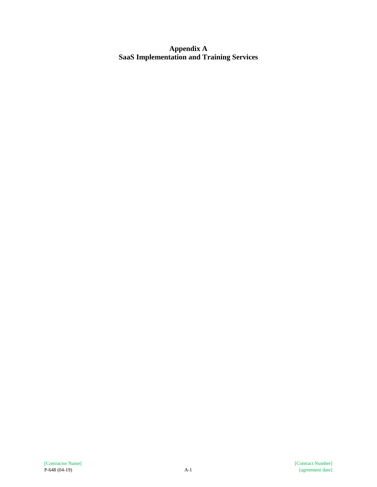**Appendix A SaaS Implementation and Training Services**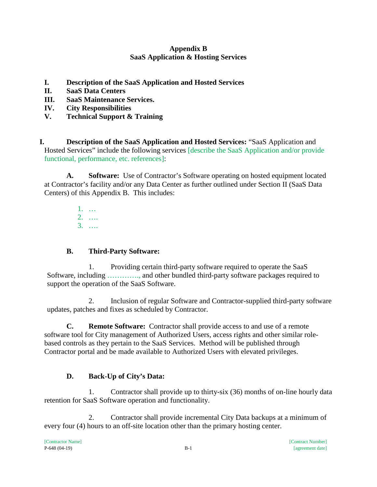## **Appendix B SaaS Application & Hosting Services**

- **I. Description of the SaaS Application and Hosted Services**
- **II. SaaS Data Centers**
- **III. SaaS Maintenance Services.**
- **IV. City Responsibilities**
- **V. Technical Support & Training**

**I. Description of the SaaS Application and Hosted Services:** "SaaS Application and Hosted Services" include the following services [describe the SaaS Application and/or provide functional, performance, etc. references]:

**A. Software:** Use of Contractor's Software operating on hosted equipment located at Contractor's facility and/or any Data Center as further outlined under Section II (SaaS Data Centers) of this Appendix B. This includes:

> 1. … 2. …. 3. ….

# **B. Third-Party Software:**

1. Providing certain third-party software required to operate the SaaS Software, including …………., and other bundled third-party software packages required to support the operation of the SaaS Software.

2. Inclusion of regular Software and Contractor-supplied third-party software updates, patches and fixes as scheduled by Contractor.

**C. Remote Software:** Contractor shall provide access to and use of a remote software tool for City management of Authorized Users, access rights and other similar rolebased controls as they pertain to the SaaS Services. Method will be published through Contractor portal and be made available to Authorized Users with elevated privileges.

# **D. Back-Up of City's Data:**

1. Contractor shall provide up to thirty-six (36) months of on-line hourly data retention for SaaS Software operation and functionality.

2. Contractor shall provide incremental City Data backups at a minimum of every four (4) hours to an off-site location other than the primary hosting center.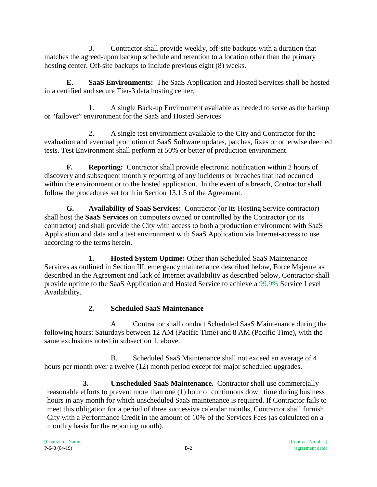3. Contractor shall provide weekly, off-site backups with a duration that matches the agreed-upon backup schedule and retention to a location other than the primary hosting center. Off-site backups to include previous eight (8) weeks.

**E. SaaS Environments:** The SaaS Application and Hosted Services shall be hosted in a certified and secure Tier-3 data hosting center.

1. A single Back-up Environment available as needed to serve as the backup or "failover" environment for the SaaS and Hosted Services

2. A single test environment available to the City and Contractor for the evaluation and eventual promotion of SaaS Software updates, patches, fixes or otherwise deemed tests. Test Environment shall perform at 50% or better of production environment.

**F. Reporting:** Contractor shall provide electronic notification within 2 hours of discovery and subsequent monthly reporting of any incidents or breaches that had occurred within the environment or to the hosted application. In the event of a breach, Contractor shall follow the procedures set forth in Section 13.1.5 of the Agreement.

**G. Availability of SaaS Services:** Contractor (or its Hosting Service contractor) shall host the **SaaS Services** on computers owned or controlled by the Contractor (or its contractor) and shall provide the City with access to both a production environment with SaaS Application and data and a test environment with SaaS Application via Internet-access to use according to the terms herein.

**1. Hosted System Uptime:** Other than Scheduled SaaS Maintenance Services as outlined in Section III, emergency maintenance described below, Force Majeure as described in the Agreement and lack of Internet availability as described below, Contractor shall provide uptime to the SaaS Application and Hosted Service to achieve a 99.9% Service Level Availability.

# **2. Scheduled SaaS Maintenance**

A. Contractor shall conduct Scheduled SaaS Maintenance during the following hours: Saturdays between 12 AM (Pacific Time) and 8 AM (Pacific Time), with the same exclusions noted in subsection 1, above.

B. Scheduled SaaS Maintenance shall not exceed an average of 4 hours per month over a twelve (12) month period except for major scheduled upgrades.

**3. Unscheduled SaaS Maintenance.** Contractor shall use commercially reasonable efforts to prevent more than one (1) hour of continuous down time during business hours in any month for which unscheduled SaaS maintenance is required. If Contractor fails to meet this obligation for a period of three successive calendar months, Contractor shall furnish City with a Performance Credit in the amount of 10% of the Services Fees (as calculated on a monthly basis for the reporting month).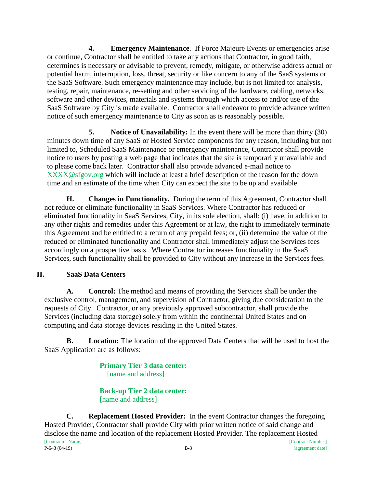**4. Emergency Maintenance**. If Force Majeure Events or emergencies arise or continue, Contractor shall be entitled to take any actions that Contractor, in good faith, determines is necessary or advisable to prevent, remedy, mitigate, or otherwise address actual or potential harm, interruption, loss, threat, security or like concern to any of the SaaS systems or the SaaS Software. Such emergency maintenance may include, but is not limited to: analysis, testing, repair, maintenance, re-setting and other servicing of the hardware, cabling, networks, software and other devices, materials and systems through which access to and/or use of the SaaS Software by City is made available. Contractor shall endeavor to provide advance written notice of such emergency maintenance to City as soon as is reasonably possible.

**5. Notice of Unavailability:** In the event there will be more than thirty (30) minutes down time of any SaaS or Hosted Service components for any reason, including but not limited to, Scheduled SaaS Maintenance or emergency maintenance, Contractor shall provide notice to users by posting a web page that indicates that the site is temporarily unavailable and to please come back later. Contractor shall also provide advanced e-mail notice to XXXX@sfgov.org which will include at least a brief description of the reason for the down time and an estimate of the time when City can expect the site to be up and available.

**H. Changes in Functionality.** During the term of this Agreement, Contractor shall not reduce or eliminate functionality in SaaS Services. Where Contractor has reduced or eliminated functionality in SaaS Services, City, in its sole election, shall: (i) have, in addition to any other rights and remedies under this Agreement or at law, the right to immediately terminate this Agreement and be entitled to a return of any prepaid fees; or, (ii) determine the value of the reduced or eliminated functionality and Contractor shall immediately adjust the Services fees accordingly on a prospective basis. Where Contractor increases functionality in the SaaS Services, such functionality shall be provided to City without any increase in the Services fees.

# **II. SaaS Data Centers**

**A. Control:** The method and means of providing the Services shall be under the exclusive control, management, and supervision of Contractor, giving due consideration to the requests of City. Contractor, or any previously approved subcontractor, shall provide the Services (including data storage) solely from within the continental United States and on computing and data storage devices residing in the United States.

**B. Location:** The location of the approved Data Centers that will be used to host the SaaS Application are as follows:

> **Primary Tier 3 data center:**  [name and address]

> **Back-up Tier 2 data center:**  [name and address]

[Contractor Name] [Contract Number] P-648 (04-19) B-3 [agreement date] **C. Replacement Hosted Provider:** In the event Contractor changes the foregoing Hosted Provider, Contractor shall provide City with prior written notice of said change and disclose the name and location of the replacement Hosted Provider. The replacement Hosted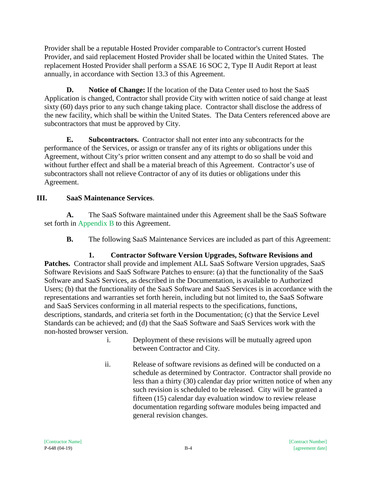Provider shall be a reputable Hosted Provider comparable to Contractor's current Hosted Provider, and said replacement Hosted Provider shall be located within the United States. The replacement Hosted Provider shall perform a SSAE 16 SOC 2, Type II Audit Report at least annually, in accordance with Section 13.3 of this Agreement.

**D. Notice of Change:** If the location of the Data Center used to host the SaaS Application is changed, Contractor shall provide City with written notice of said change at least sixty (60) days prior to any such change taking place. Contractor shall disclose the address of the new facility, which shall be within the United States. The Data Centers referenced above are subcontractors that must be approved by City.

**E. Subcontractors.** Contractor shall not enter into any subcontracts for the performance of the Services, or assign or transfer any of its rights or obligations under this Agreement, without City's prior written consent and any attempt to do so shall be void and without further effect and shall be a material breach of this Agreement. Contractor's use of subcontractors shall not relieve Contractor of any of its duties or obligations under this Agreement.

# **III. SaaS Maintenance Services**.

**A.** The SaaS Software maintained under this Agreement shall be the SaaS Software set forth in Appendix B to this Agreement.

**B.** The following SaaS Maintenance Services are included as part of this Agreement:

**1. Contractor Software Version Upgrades, Software Revisions and Patches.** Contractor shall provide and implement ALL SaaS Software Version upgrades, SaaS Software Revisions and SaaS Software Patches to ensure: (a) that the functionality of the SaaS Software and SaaS Services, as described in the Documentation, is available to Authorized Users; (b) that the functionality of the SaaS Software and SaaS Services is in accordance with the representations and warranties set forth herein, including but not limited to, the SaaS Software and SaaS Services conforming in all material respects to the specifications, functions, descriptions, standards, and criteria set forth in the Documentation; (c) that the Service Level Standards can be achieved; and (d) that the SaaS Software and SaaS Services work with the non-hosted browser version.

- i. Deployment of these revisions will be mutually agreed upon between Contractor and City.
- ii. Release of software revisions as defined will be conducted on a schedule as determined by Contractor. Contractor shall provide no less than a thirty (30) calendar day prior written notice of when any such revision is scheduled to be released. City will be granted a fifteen (15) calendar day evaluation window to review release documentation regarding software modules being impacted and general revision changes.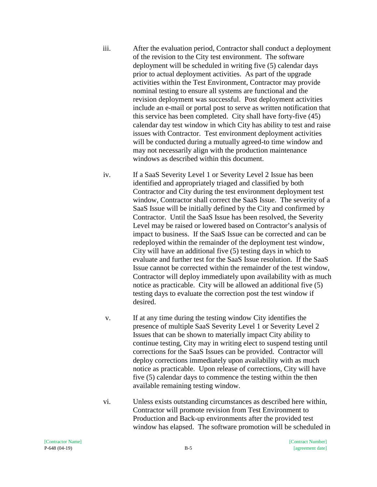iii. After the evaluation period, Contractor shall conduct a deployment of the revision to the City test environment. The software deployment will be scheduled in writing five (5) calendar days prior to actual deployment activities. As part of the upgrade activities within the Test Environment, Contractor may provide nominal testing to ensure all systems are functional and the revision deployment was successful. Post deployment activities include an e-mail or portal post to serve as written notification that this service has been completed. City shall have forty-five (45) calendar day test window in which City has ability to test and raise issues with Contractor. Test environment deployment activities will be conducted during a mutually agreed-to time window and may not necessarily align with the production maintenance windows as described within this document.

iv. If a SaaS Severity Level 1 or Severity Level 2 Issue has been identified and appropriately triaged and classified by both Contractor and City during the test environment deployment test window, Contractor shall correct the SaaS Issue. The severity of a SaaS Issue will be initially defined by the City and confirmed by Contractor. Until the SaaS Issue has been resolved, the Severity Level may be raised or lowered based on Contractor's analysis of impact to business. If the SaaS Issue can be corrected and can be redeployed within the remainder of the deployment test window, City will have an additional five (5) testing days in which to evaluate and further test for the SaaS Issue resolution. If the SaaS Issue cannot be corrected within the remainder of the test window, Contractor will deploy immediately upon availability with as much notice as practicable. City will be allowed an additional five (5) testing days to evaluate the correction post the test window if desired.

- v. If at any time during the testing window City identifies the presence of multiple SaaS Severity Level 1 or Severity Level 2 Issues that can be shown to materially impact City ability to continue testing, City may in writing elect to suspend testing until corrections for the SaaS Issues can be provided. Contractor will deploy corrections immediately upon availability with as much notice as practicable. Upon release of corrections, City will have five (5) calendar days to commence the testing within the then available remaining testing window.
- vi. Unless exists outstanding circumstances as described here within, Contractor will promote revision from Test Environment to Production and Back-up environments after the provided test window has elapsed. The software promotion will be scheduled in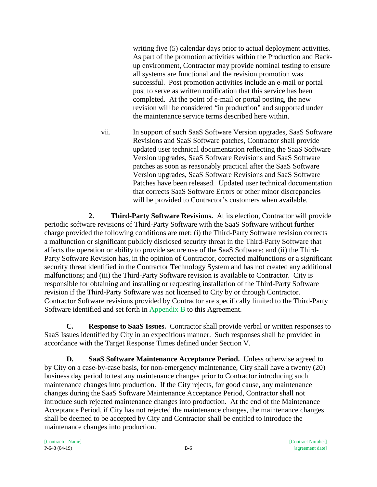writing five (5) calendar days prior to actual deployment activities. As part of the promotion activities within the Production and Backup environment, Contractor may provide nominal testing to ensure all systems are functional and the revision promotion was successful. Post promotion activities include an e-mail or portal post to serve as written notification that this service has been completed. At the point of e-mail or portal posting, the new revision will be considered "in production" and supported under the maintenance service terms described here within.

vii. In support of such SaaS Software Version upgrades, SaaS Software Revisions and SaaS Software patches, Contractor shall provide updated user technical documentation reflecting the SaaS Software Version upgrades, SaaS Software Revisions and SaaS Software patches as soon as reasonably practical after the SaaS Software Version upgrades, SaaS Software Revisions and SaaS Software Patches have been released. Updated user technical documentation that corrects SaaS Software Errors or other minor discrepancies will be provided to Contractor's customers when available.

**2. Third-Party Software Revisions.** At its election, Contractor will provide periodic software revisions of Third-Party Software with the SaaS Software without further charge provided the following conditions are met: (i) the Third-Party Software revision corrects a malfunction or significant publicly disclosed security threat in the Third-Party Software that affects the operation or ability to provide secure use of the SaaS Software; and (ii) the Third-Party Software Revision has, in the opinion of Contractor, corrected malfunctions or a significant security threat identified in the Contractor Technology System and has not created any additional malfunctions; and (iii) the Third-Party Software revision is available to Contractor. City is responsible for obtaining and installing or requesting installation of the Third-Party Software revision if the Third-Party Software was not licensed to City by or through Contractor. Contractor Software revisions provided by Contractor are specifically limited to the Third-Party Software identified and set forth in Appendix B to this Agreement.

**C. Response to SaaS Issues.** Contractor shall provide verbal or written responses to SaaS Issues identified by City in an expeditious manner. Such responses shall be provided in accordance with the Target Response Times defined under Section V.

**D. SaaS Software Maintenance Acceptance Period.** Unless otherwise agreed to by City on a case-by-case basis, for non-emergency maintenance, City shall have a twenty (20) business day period to test any maintenance changes prior to Contractor introducing such maintenance changes into production. If the City rejects, for good cause, any maintenance changes during the SaaS Software Maintenance Acceptance Period, Contractor shall not introduce such rejected maintenance changes into production. At the end of the Maintenance Acceptance Period, if City has not rejected the maintenance changes, the maintenance changes shall be deemed to be accepted by City and Contractor shall be entitled to introduce the maintenance changes into production.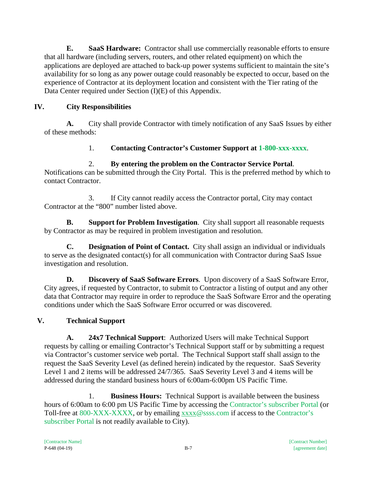**E. SaaS Hardware:** Contractor shall use commercially reasonable efforts to ensure that all hardware (including servers, routers, and other related equipment) on which the applications are deployed are attached to back-up power systems sufficient to maintain the site's availability for so long as any power outage could reasonably be expected to occur, based on the experience of Contractor at its deployment location and consistent with the Tier rating of the Data Center required under Section (I)(E) of this Appendix.

# **IV. City Responsibilities**

**A.** City shall provide Contractor with timely notification of any SaaS Issues by either of these methods:

1. **Contacting Contractor's Customer Support at 1-800-xxx-xxxx**.

# 2. **By entering the problem on the Contractor Service Portal**.

Notifications can be submitted through the City Portal. This is the preferred method by which to contact Contractor.

3. If City cannot readily access the Contractor portal, City may contact Contractor at the "800" number listed above.

**B. Support for Problem Investigation**. City shall support all reasonable requests by Contractor as may be required in problem investigation and resolution.

**C. Designation of Point of Contact.** City shall assign an individual or individuals to serve as the designated contact(s) for all communication with Contractor during SaaS Issue investigation and resolution.

**D. Discovery of SaaS Software Errors**. Upon discovery of a SaaS Software Error, City agrees, if requested by Contractor, to submit to Contractor a listing of output and any other data that Contractor may require in order to reproduce the SaaS Software Error and the operating conditions under which the SaaS Software Error occurred or was discovered.

# **V. Technical Support**

**A. 24x7 Technical Support**: Authorized Users will make Technical Support requests by calling or emailing Contractor's Technical Support staff or by submitting a request via Contractor's customer service web portal. The Technical Support staff shall assign to the request the SaaS Severity Level (as defined herein) indicated by the requestor. SaaS Severity Level 1 and 2 items will be addressed 24/7/365. SaaS Severity Level 3 and 4 items will be addressed during the standard business hours of 6:00am-6:00pm US Pacific Time.

1. **Business Hours:** Technical Support is available between the business hours of 6:00am to 6:00 pm US Pacific Time by accessing the Contractor's subscriber Portal (or Toll-free at 800-XXX-XXXX, or by emailing [xxxx@](mailto:support@aclara.com)ssss.com if access to the Contractor's subscriber Portal is not readily available to City).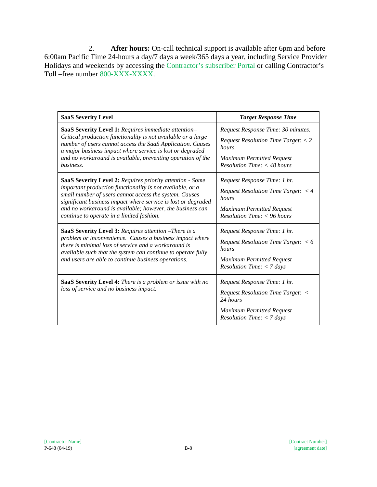2. **After hours:** On-call technical support is available after 6pm and before 6:00am Pacific Time 24-hours a day/7 days a week/365 days a year, including Service Provider Holidays and weekends by accessing the Contractor's subscriber Portal or calling Contractor's Toll –free number 800-XXX-XXXX.

| <b>SaaS Severity Level</b>                                                                                                                                                                                                                                                                                                                                  | <b>Target Response Time</b>                                                                                                                                                     |
|-------------------------------------------------------------------------------------------------------------------------------------------------------------------------------------------------------------------------------------------------------------------------------------------------------------------------------------------------------------|---------------------------------------------------------------------------------------------------------------------------------------------------------------------------------|
| SaaS Severity Level 1: Requires immediate attention-<br>Critical production functionality is not available or a large<br>number of users cannot access the SaaS Application. Causes<br>a major business impact where service is lost or degraded<br>and no workaround is available, preventing operation of the<br>business.                                | Request Response Time: 30 minutes.<br><i>Request Resolution Time Target:</i> $<$ 2<br>hours.<br><b>Maximum Permitted Request</b><br>$Resolution$ Time: $<$ 48 hours             |
| SaaS Severity Level 2: Requires priority attention - Some<br>important production functionality is not available, or a<br>small number of users cannot access the system. Causes<br>significant business impact where service is lost or degraded<br>and no workaround is available; however, the business can<br>continue to operate in a limited fashion. | Request Response Time: 1 hr.<br><i>Request Resolution Time Target:</i> $\langle 4 \rangle$<br>hours<br><b>Maximum Permitted Request</b><br>$Resolution$ Time: $<$ 96 hours      |
| SaaS Severity Level 3: Requires attention - There is a<br>problem or inconvenience. Causes a business impact where<br>there is minimal loss of service and a workaround is<br>available such that the system can continue to operate fully<br>and users are able to continue business operations.                                                           | Request Response Time: 1 hr.<br><i>Request Resolution Time Target:</i> $<$ 6<br>hours<br><b>Maximum Permitted Request</b><br><i>Resolution Time: <math>&lt;</math> 7 days</i>   |
| SaaS Severity Level 4: There is a problem or issue with no<br>loss of service and no business impact.                                                                                                                                                                                                                                                       | Request Response Time: 1 hr.<br><b>Request Resolution Time Target: &lt;</b><br>24 hours<br><b>Maximum Permitted Request</b><br><i>Resolution Time: <math>&lt;</math> 7 days</i> |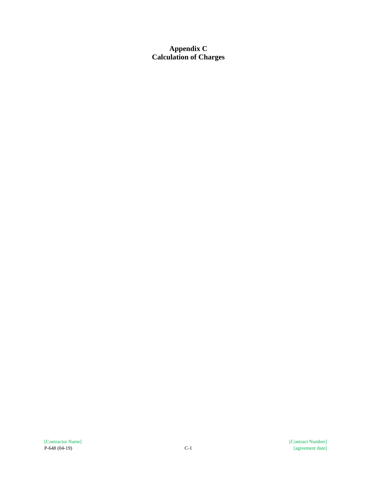**Appendix C Calculation of Charges**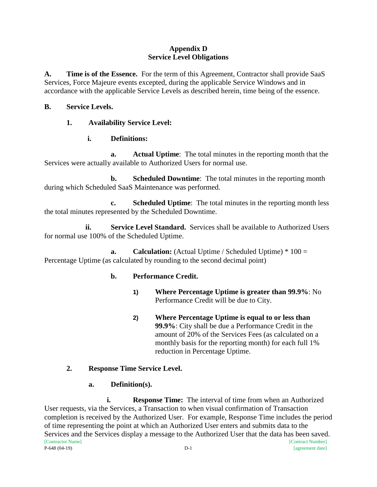#### **Appendix D Service Level Obligations**

**A. Time is of the Essence.** For the term of this Agreement, Contractor shall provide SaaS Services, Force Majeure events excepted, during the applicable Service Windows and in accordance with the applicable Service Levels as described herein, time being of the essence.

#### **B. Service Levels.**

## **1. Availability Service Level:**

## **i. Definitions:**

**a. Actual Uptime**: The total minutes in the reporting month that the Services were actually available to Authorized Users for normal use.

**b. Scheduled Downtime**: The total minutes in the reporting month during which Scheduled SaaS Maintenance was performed.

**c. Scheduled Uptime**: The total minutes in the reporting month less the total minutes represented by the Scheduled Downtime.

**ii. Service Level Standard.** Services shall be available to Authorized Users for normal use 100% of the Scheduled Uptime.

**a. Calculation:** (Actual Uptime / Scheduled Uptime) \* 100 = Percentage Uptime (as calculated by rounding to the second decimal point)

## **b. Performance Credit.**

- **1) Where Percentage Uptime is greater than 99.9%**: No Performance Credit will be due to City.
- **2) Where Percentage Uptime is equal to or less than 99.9%**: City shall be due a Performance Credit in the amount of 20% of the Services Fees (as calculated on a monthly basis for the reporting month) for each full 1% reduction in Percentage Uptime.

# **2. Response Time Service Level.**

## **a. Definition(s).**

[Contractor Name] [Contract Number] P-648 (04-19) D-1 [agreement date] **i. Response Time:** The interval of time from when an Authorized User requests, via the Services, a Transaction to when visual confirmation of Transaction completion is received by the Authorized User. For example, Response Time includes the period of time representing the point at which an Authorized User enters and submits data to the Services and the Services display a message to the Authorized User that the data has been saved.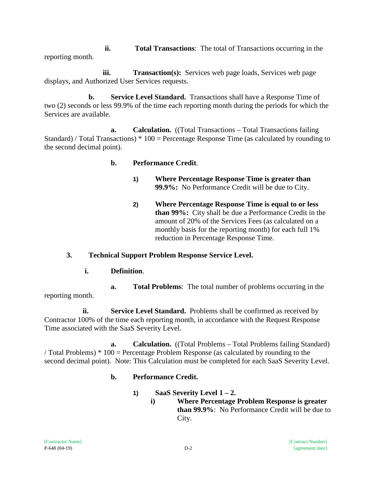**ii. Total Transactions**: The total of Transactions occurring in the reporting month.

**iii. Transaction(s):** Services web page loads, Services web page displays, and Authorized User Services requests.

**b. Service Level Standard.** Transactions shall have a Response Time of two (2) seconds or less 99.9% of the time each reporting month during the periods for which the Services are available.

**a. Calculation.** ((Total Transactions – Total Transactions failing Standard) / Total Transactions) \* 100 = Percentage Response Time (as calculated by rounding to the second decimal point).

## **b. Performance Credit**.

- **1) Where Percentage Response Time is greater than 99.9%:** No Performance Credit will be due to City.
- **2) Where Percentage Response Time is equal to or less than 99%:** City shall be due a Performance Credit in the amount of 20% of the Services Fees (as calculated on a monthly basis for the reporting month) for each full 1% reduction in Percentage Response Time.

# **3. Technical Support Problem Response Service Level.**

**i. Definition**.

**a. Total Problems**: The total number of problems occurring in the reporting month.

**ii. Service Level Standard.** Problems shall be confirmed as received by Contractor 100% of the time each reporting month, in accordance with the Request Response Time associated with the SaaS Severity Level.

**a. Calculation.** ((Total Problems – Total Problems failing Standard) / Total Problems) \* 100 = Percentage Problem Response (as calculated by rounding to the second decimal point). Note: This Calculation must be completed for each SaaS Severity Level.

# **b. Performance Credit.**

- **1) SaaS Severity Level 1 – 2.**
	- **i) Where Percentage Problem Response is greater than 99.9%**: No Performance Credit will be due to City.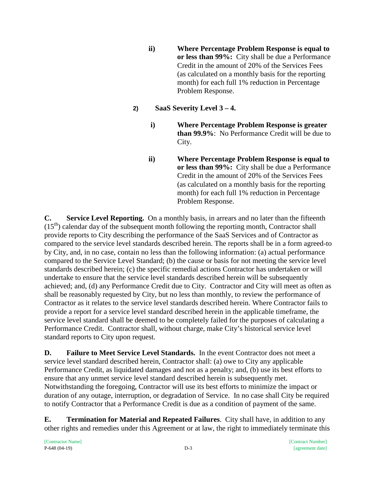- **ii) Where Percentage Problem Response is equal to or less than 99%:** City shall be due a Performance Credit in the amount of 20% of the Services Fees (as calculated on a monthly basis for the reporting month) for each full 1% reduction in Percentage Problem Response.
- **2) SaaS Severity Level 3 – 4.**
	- **i) Where Percentage Problem Response is greater than 99.9%**: No Performance Credit will be due to City.
	- **ii) Where Percentage Problem Response is equal to or less than 99%:** City shall be due a Performance Credit in the amount of 20% of the Services Fees (as calculated on a monthly basis for the reporting month) for each full 1% reduction in Percentage Problem Response.

**C. Service Level Reporting.** On a monthly basis, in arrears and no later than the fifteenth  $(15<sup>th</sup>)$  calendar day of the subsequent month following the reporting month, Contractor shall provide reports to City describing the performance of the SaaS Services and of Contractor as compared to the service level standards described herein. The reports shall be in a form agreed-to by City, and, in no case, contain no less than the following information: (a) actual performance compared to the Service Level Standard; (b) the cause or basis for not meeting the service level standards described herein; (c) the specific remedial actions Contractor has undertaken or will undertake to ensure that the service level standards described herein will be subsequently achieved; and, (d) any Performance Credit due to City. Contractor and City will meet as often as shall be reasonably requested by City, but no less than monthly, to review the performance of Contractor as it relates to the service level standards described herein. Where Contractor fails to provide a report for a service level standard described herein in the applicable timeframe, the service level standard shall be deemed to be completely failed for the purposes of calculating a Performance Credit. Contractor shall, without charge, make City's historical service level standard reports to City upon request.

**D. Failure to Meet Service Level Standards.** In the event Contractor does not meet a service level standard described herein, Contractor shall: (a) owe to City any applicable Performance Credit, as liquidated damages and not as a penalty; and, (b) use its best efforts to ensure that any unmet service level standard described herein is subsequently met. Notwithstanding the foregoing, Contractor will use its best efforts to minimize the impact or duration of any outage, interruption, or degradation of Service. In no case shall City be required to notify Contractor that a Performance Credit is due as a condition of payment of the same.

**E. Termination for Material and Repeated Failures**. City shall have, in addition to any other rights and remedies under this Agreement or at law, the right to immediately terminate this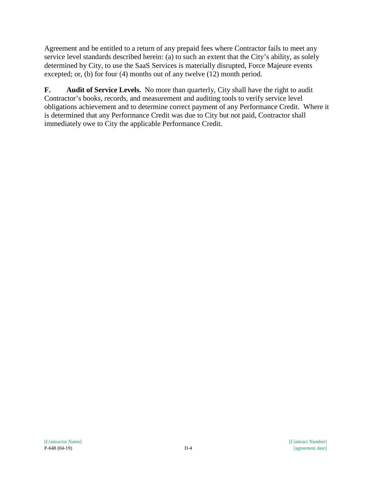Agreement and be entitled to a return of any prepaid fees where Contractor fails to meet any service level standards described herein: (a) to such an extent that the City's ability, as solely determined by City, to use the SaaS Services is materially disrupted, Force Majeure events excepted; or, (b) for four (4) months out of any twelve (12) month period.

**F. Audit of Service Levels.** No more than quarterly, City shall have the right to audit Contractor's books, records, and measurement and auditing tools to verify service level obligations achievement and to determine correct payment of any Performance Credit. Where it is determined that any Performance Credit was due to City but not paid, Contractor shall immediately owe to City the applicable Performance Credit.